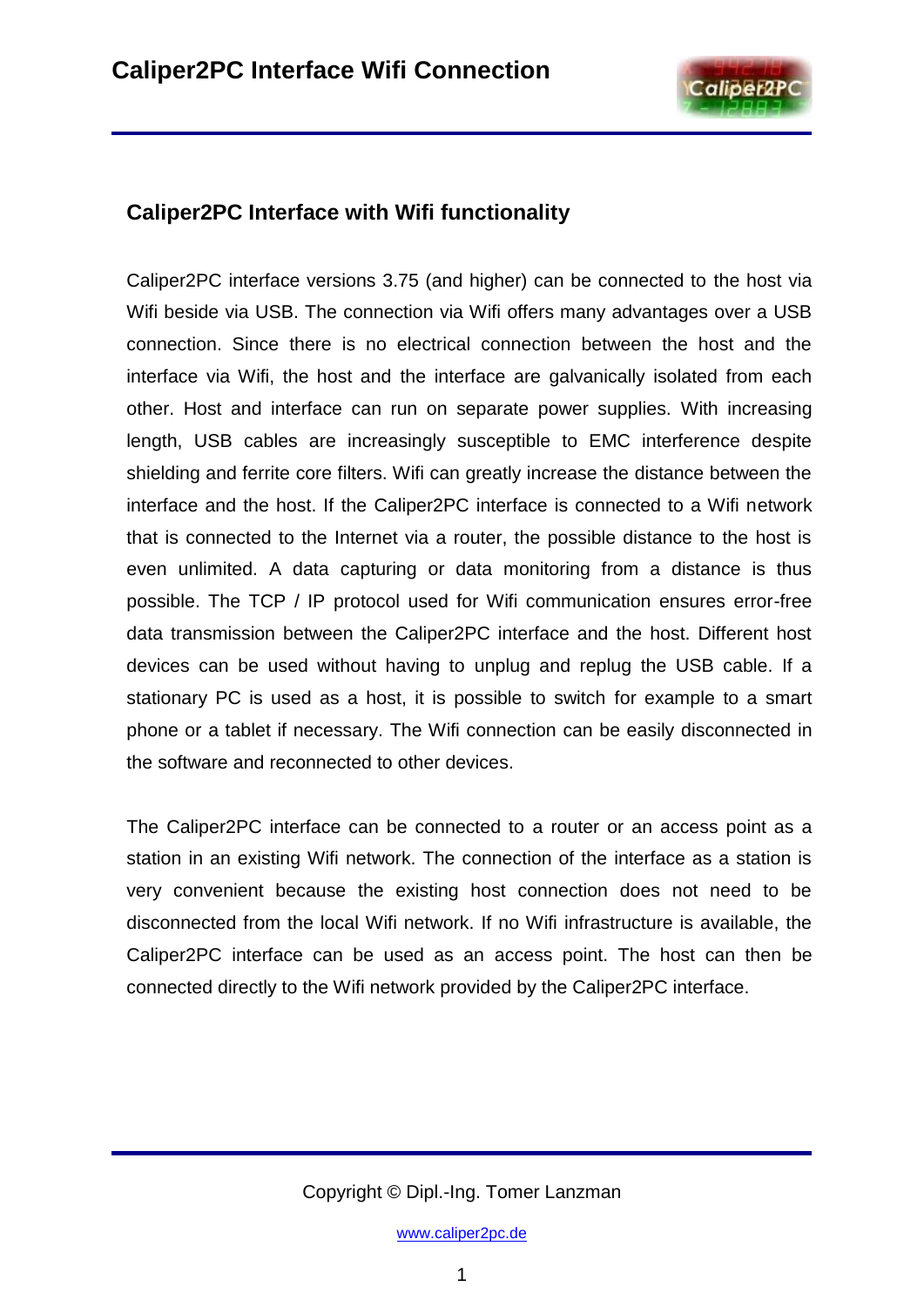

## **Caliper2PC Interface with Wifi functionality**

Caliper2PC interface versions 3.75 (and higher) can be connected to the host via Wifi beside via USB. The connection via Wifi offers many advantages over a USB connection. Since there is no electrical connection between the host and the interface via Wifi, the host and the interface are galvanically isolated from each other. Host and interface can run on separate power supplies. With increasing length, USB cables are increasingly susceptible to EMC interference despite shielding and ferrite core filters. Wifi can greatly increase the distance between the interface and the host. If the Caliper2PC interface is connected to a Wifi network that is connected to the Internet via a router, the possible distance to the host is even unlimited. A data capturing or data monitoring from a distance is thus possible. The TCP / IP protocol used for Wifi communication ensures error-free data transmission between the Caliper2PC interface and the host. Different host devices can be used without having to unplug and replug the USB cable. If a stationary PC is used as a host, it is possible to switch for example to a smart phone or a tablet if necessary. The Wifi connection can be easily disconnected in the software and reconnected to other devices.

The Caliper2PC interface can be connected to a router or an access point as a station in an existing Wifi network. The connection of the interface as a station is very convenient because the existing host connection does not need to be disconnected from the local Wifi network. If no Wifi infrastructure is available, the Caliper2PC interface can be used as an access point. The host can then be connected directly to the Wifi network provided by the Caliper2PC interface.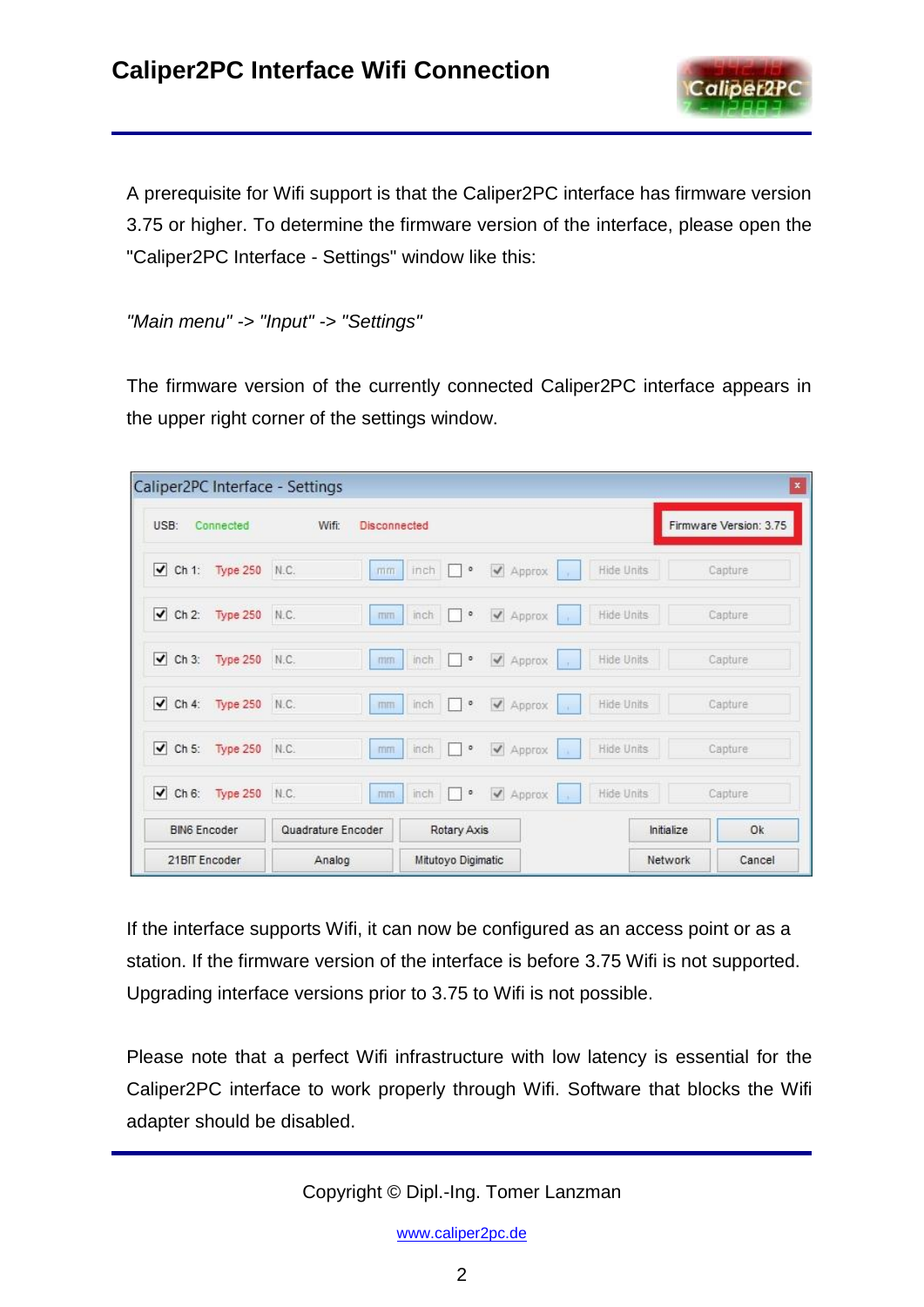

A prerequisite for Wifi support is that the Caliper2PC interface has firmware version 3.75 or higher. To determine the firmware version of the interface, please open the "Caliper2PC Interface - Settings" window like this:

*"Main menu" -> "Input" -> "Settings"*

The firmware version of the currently connected Caliper2PC interface appears in the upper right corner of the settings window.

| Caliper2PC Interface - Settings         |                              |                                     |                   | $\boldsymbol{\mathsf{x}}$ |
|-----------------------------------------|------------------------------|-------------------------------------|-------------------|---------------------------|
| USB:<br>Connected                       | Wifi:<br><b>Disconnected</b> |                                     |                   | Firmware Version: 3.75    |
| $\vee$ Ch 1:<br>Type 250 N.C.           | mm                           | ✔ Approx<br>$inch$ $\Box$ $\circ$   | Hide Units<br>ou- | Capture                   |
| $\vee$ Ch 2:<br>Type 250 N.C.           | mm                           | Approx<br>$\circ$<br>inch           | Hide Units        | Capture                   |
| $\blacktriangleright$ Ch 3:<br>Type 250 | N.C.<br>mm                   | inch<br>$\circ$<br>√ Approx         | Hide Units        | Capture                   |
| $\vee$ Ch 4:<br>Type 250 N.C.           | mm                           | Approx<br>inch<br>$\circ$<br>$\sim$ | Hide Units<br>NW. | Capture                   |
| $\sqrt{$ Ch 5:<br>Type 250              | N.C.<br>mm                   | Approx<br>inch<br>o                 | Hide Units<br>n.  | Capture                   |
| $\blacktriangleright$ Ch 6: Type 250    | N.C.<br>mm                   | $inch$ $\Box$ $\circ$<br>✔ Approx   | Hide Units        | Capture                   |
| <b>BING Encoder</b>                     | Quadrature Encoder           | Rotary Axis                         |                   | Ok<br>Initialize          |
| 21BIT Encoder                           | Analog                       | Mitutoyo Digimatic                  |                   | Network<br>Cancel         |

If the interface supports Wifi, it can now be configured as an access point or as a station. If the firmware version of the interface is before 3.75 Wifi is not supported. Upgrading interface versions prior to 3.75 to Wifi is not possible.

Please note that a perfect Wifi infrastructure with low latency is essential for the Caliper2PC interface to work properly through Wifi. Software that blocks the Wifi adapter should be disabled.

Copyright © Dipl.-Ing. Tomer Lanzman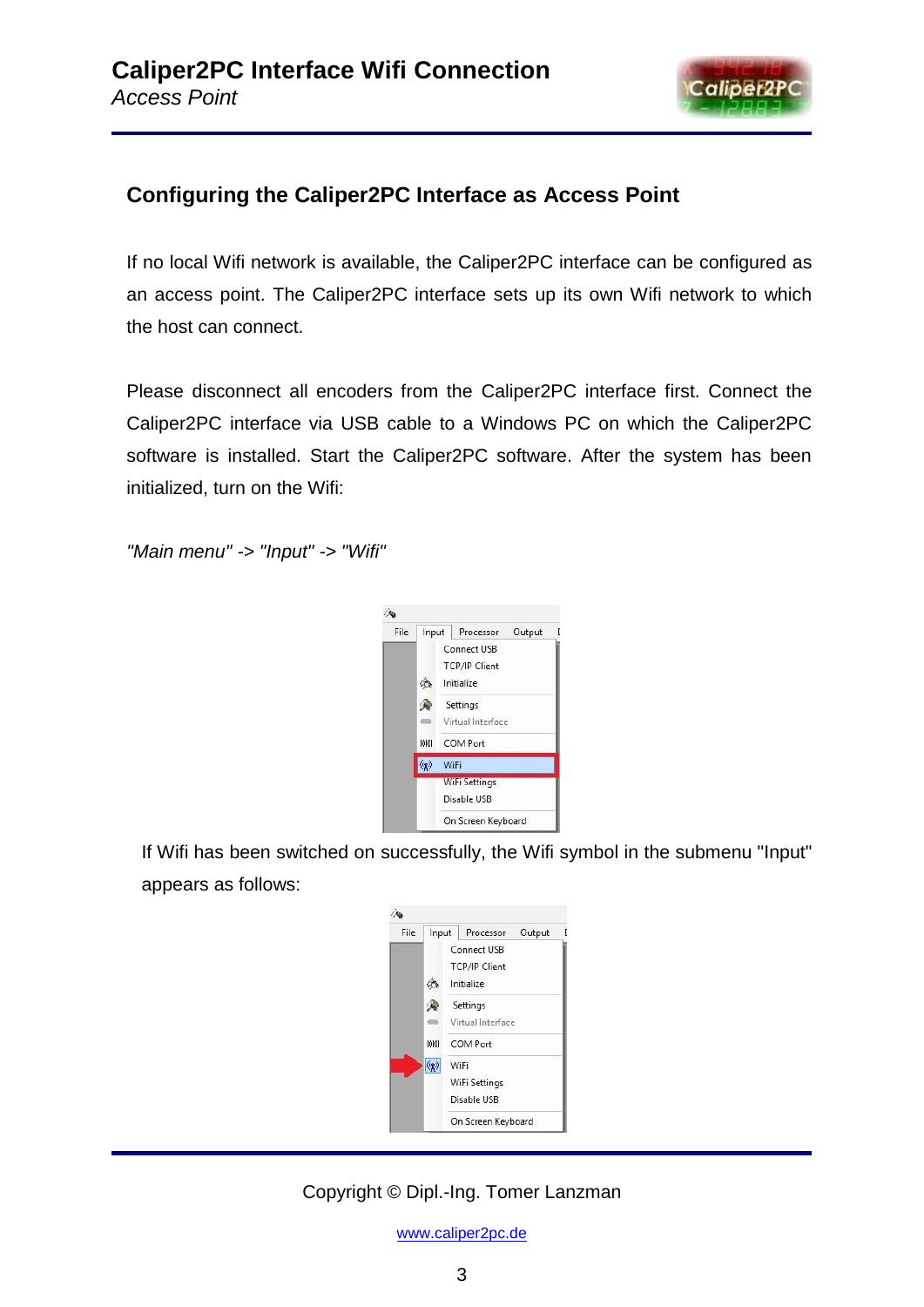

# **Configuring the Caliper2PC Interface as Access Point**

If no local Wifi network is available, the Caliper2PC interface can be configured as an access point. The Caliper2PC interface sets up its own Wifi network to which the host can connect.

Please disconnect all encoders from the Caliper2PC interface first. Connect the Caliper2PC interface via USB cable to a Windows PC on which the Caliper2PC software is installed. Start the Caliper2PC software. After the system has been initialized, turn on the Wifi:

*"Main menu" -> "Input" -> "Wifi"*



If Wifi has been switched on successfully, the Wifi symbol in the submenu "Input" appears as follows:



## Copyright © Dipl.-Ing. Tomer Lanzman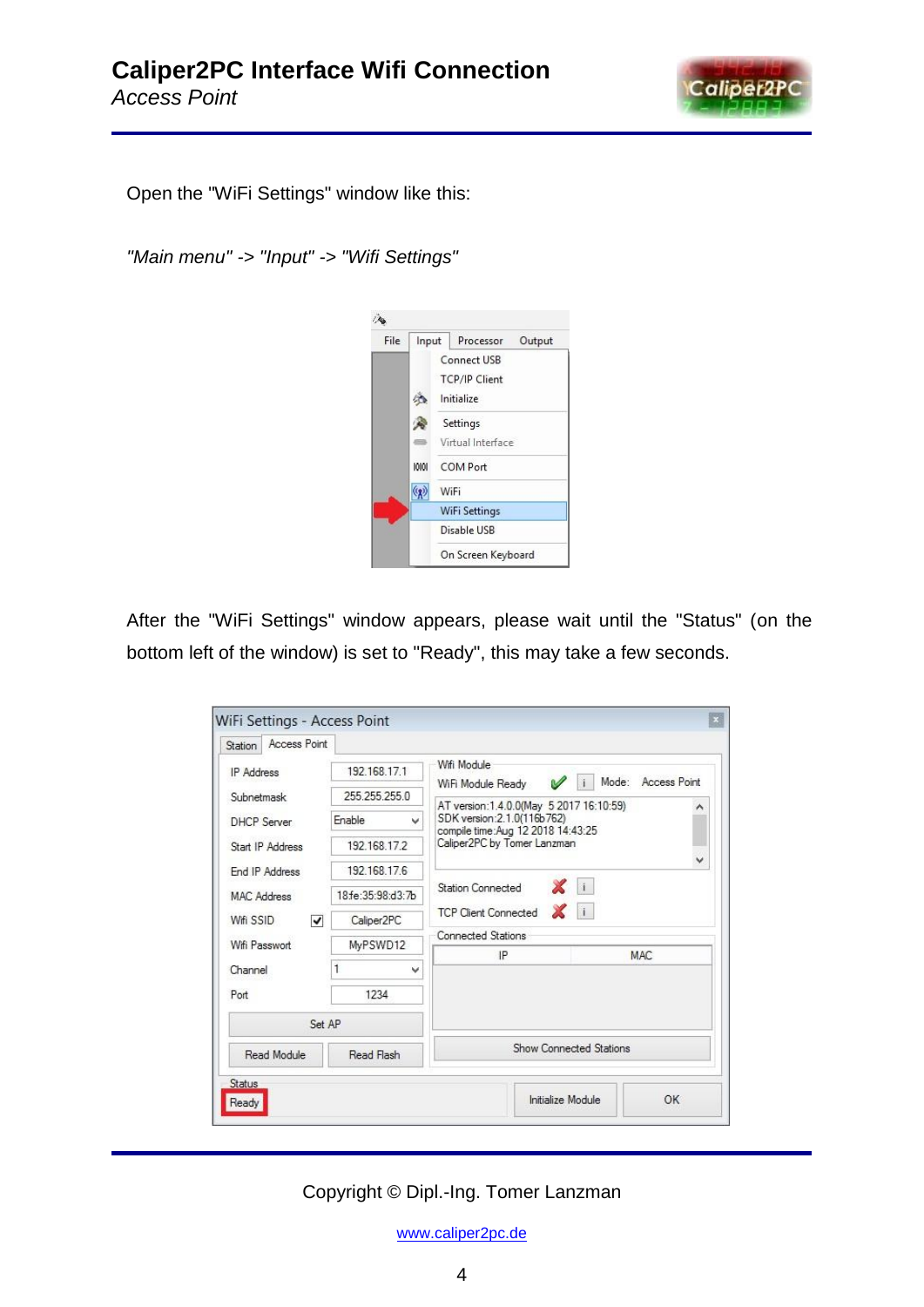

Open the "WiFi Settings" window like this:

*"Main menu" -> "Input" -> "Wifi Settings"*



After the "WiFi Settings" window appears, please wait until the "Status" (on the bottom left of the window) is set to "Ready", this may take a few seconds.

| Access Point<br>Station       |                        |                                                                                                                                                   |                                    |  |
|-------------------------------|------------------------|---------------------------------------------------------------------------------------------------------------------------------------------------|------------------------------------|--|
| <b>IP</b> Address             | 192 168 17 1           | Wifi Module                                                                                                                                       | Mode: Access Point<br>$\mathbf{u}$ |  |
| Subnetmask                    | 255 255 255.0          | WiFi Module Ready                                                                                                                                 |                                    |  |
| <b>DHCP Server</b>            | Enable<br>v            | AT version: 1.4.0.0(May 5 2017 16:10:59)<br>ㅅ<br>SDK version: 2.1.0(116b762)<br>compile time: Aug 12 2018 14:43:25<br>Caliper2PC by Tomer Lanzman |                                    |  |
| Start IP Address              | 192 168 172            |                                                                                                                                                   |                                    |  |
| End IP Address                | 192 168 17.6           |                                                                                                                                                   | $\checkmark$                       |  |
| MAC Address<br>Wifi SSID<br>▿ | 18 fe: 35: 98: d3: 7b  | <b>Station Connected</b>                                                                                                                          | XII                                |  |
|                               | Caliper <sub>2PC</sub> | <b>TCP Client Connected</b>                                                                                                                       | $\mathbf{X}$ i                     |  |
| Wifi Passwort                 | MyPSWD12               | <b>Connected Stations</b>                                                                                                                         |                                    |  |
|                               |                        | IP                                                                                                                                                | MAC:                               |  |
| Channel                       | 1<br>v                 |                                                                                                                                                   |                                    |  |
| Port                          | 1234                   |                                                                                                                                                   |                                    |  |
| Set AP                        |                        |                                                                                                                                                   |                                    |  |
| Read Module<br>Read Flash     |                        |                                                                                                                                                   | Show Connected Stations            |  |
| Status                        |                        |                                                                                                                                                   |                                    |  |
| Ready                         |                        | Initialize Module                                                                                                                                 | OK                                 |  |

Copyright © Dipl.-Ing. Tomer Lanzman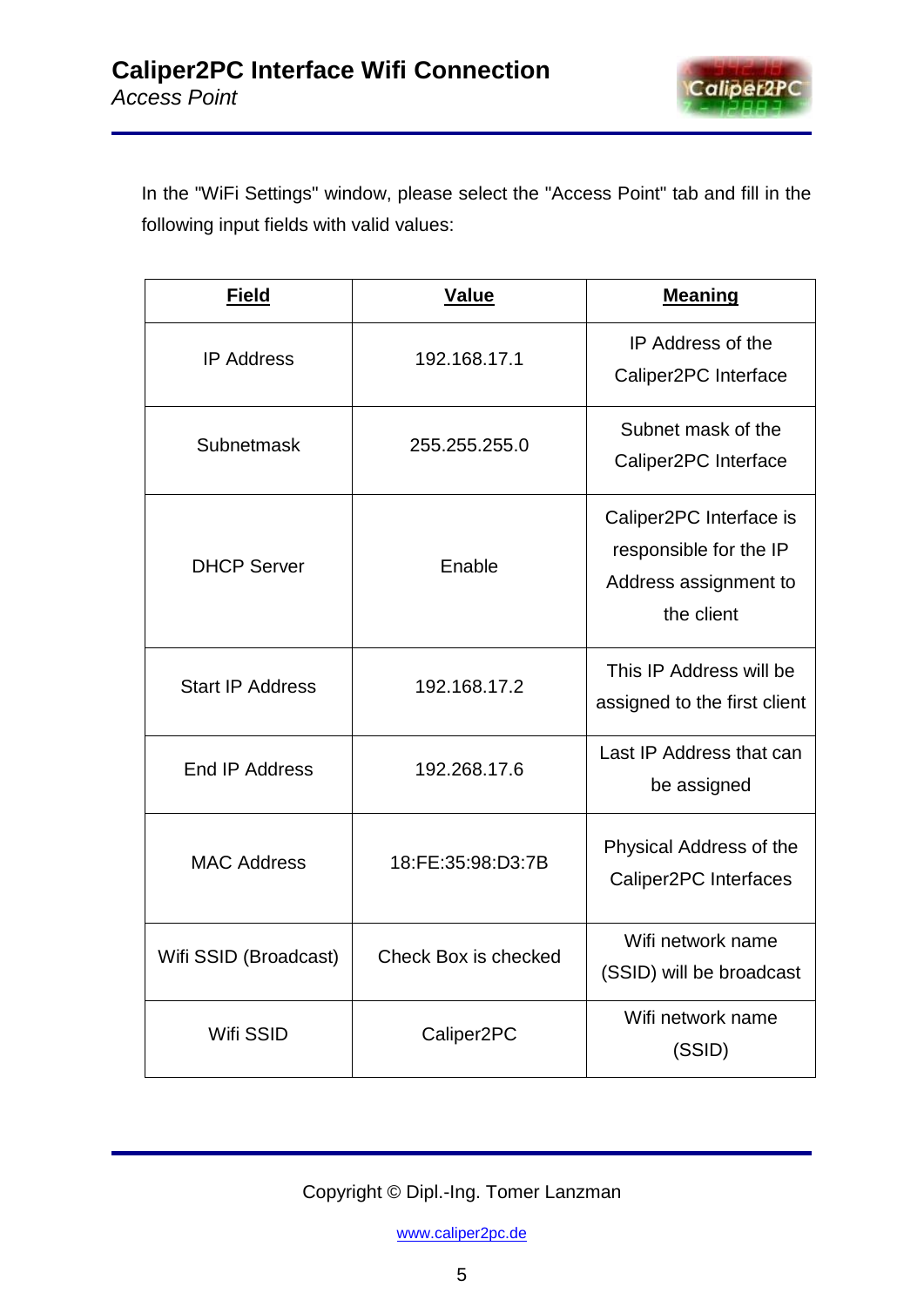

In the "WiFi Settings" window, please select the "Access Point" tab and fill in the following input fields with valid values:

| <b>Field</b>            | <b>Value</b>           | <b>Meaning</b>                                                                           |
|-------------------------|------------------------|------------------------------------------------------------------------------------------|
| <b>IP Address</b>       | 192.168.17.1           | IP Address of the<br>Caliper2PC Interface                                                |
| Subnetmask              | 255.255.255.0          | Subnet mask of the<br>Caliper2PC Interface                                               |
| <b>DHCP Server</b>      | Enable                 | Caliper2PC Interface is<br>responsible for the IP<br>Address assignment to<br>the client |
| <b>Start IP Address</b> | 192.168.17.2           | This IP Address will be<br>assigned to the first client                                  |
| End IP Address          | 192.268.17.6           | Last IP Address that can<br>be assigned                                                  |
| <b>MAC Address</b>      | 18:FE:35:98:D3:7B      | Physical Address of the<br>Caliper2PC Interfaces                                         |
| Wifi SSID (Broadcast)   | Check Box is checked   | Wifi network name<br>(SSID) will be broadcast                                            |
| Wifi SSID               | Caliper <sub>2PC</sub> | Wifi network name<br>(SSID)                                                              |

Copyright © Dipl.-Ing. Tomer Lanzman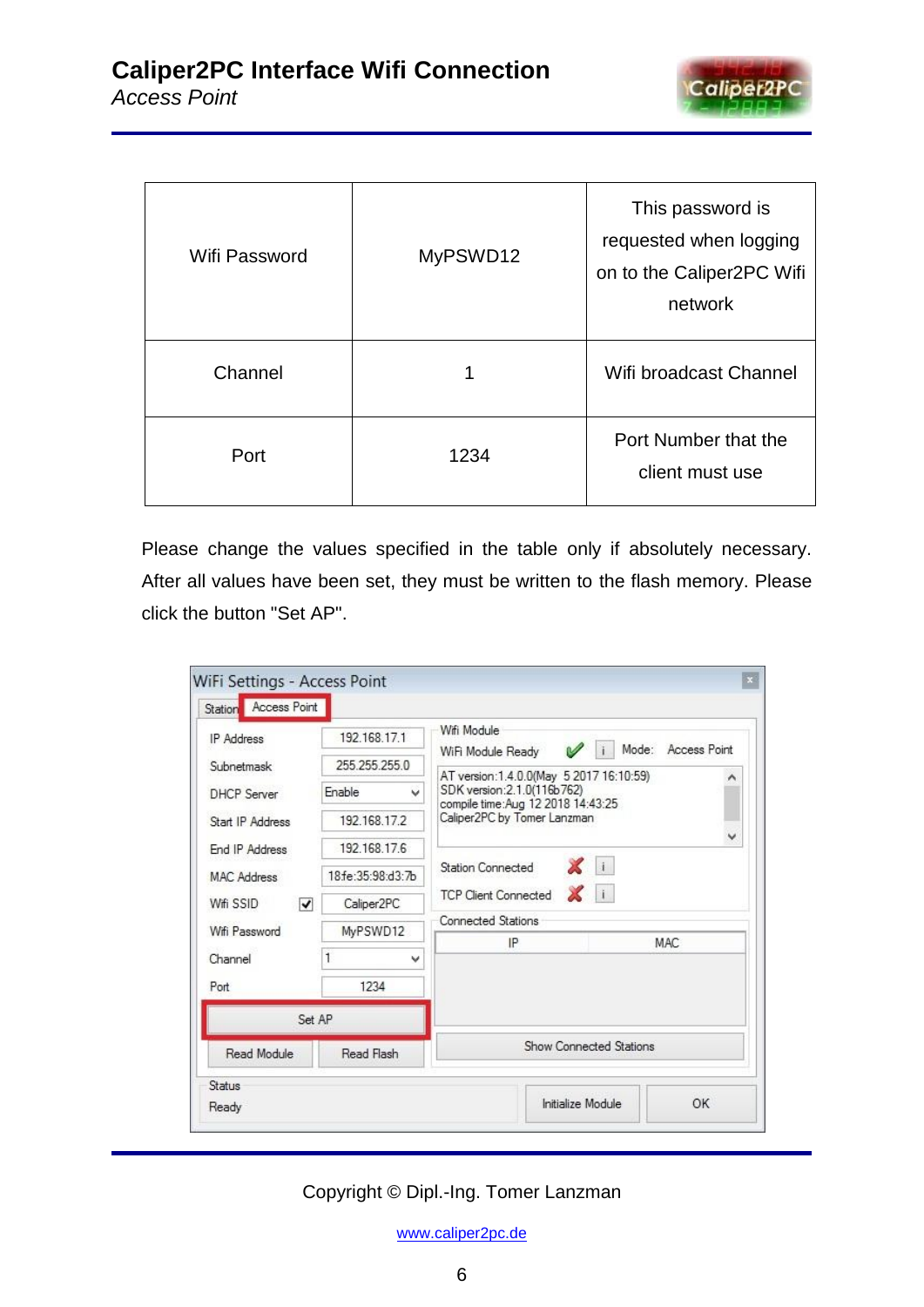

| Wifi Password | MyPSWD12 | This password is<br>requested when logging<br>on to the Caliper2PC Wifi<br>network |
|---------------|----------|------------------------------------------------------------------------------------|
| Channel       |          | Wifi broadcast Channel                                                             |
| Port          | 1234     | Port Number that the<br>client must use                                            |

Please change the values specified in the table only if absolutely necessary. After all values have been set, they must be written to the flash memory. Please click the button "Set AP".

| Read Module<br>Read Flash<br>Status                                      |                        |                                       |                                                                   |                                           |              |  |
|--------------------------------------------------------------------------|------------------------|---------------------------------------|-------------------------------------------------------------------|-------------------------------------------|--------------|--|
|                                                                          | Set AP                 |                                       |                                                                   | <b>Show Connected Stations</b>            |              |  |
| Port                                                                     |                        | 1234                                  |                                                                   |                                           |              |  |
| Channel                                                                  |                        | 1                                     | $\checkmark$                                                      |                                           |              |  |
|                                                                          |                        |                                       |                                                                   | <b>MAC</b><br>IP                          |              |  |
| <b>MAC Address</b><br>Wifi SSID<br>$\blacktriangledown$<br>Wifi Password |                        | <b>Connected Stations</b><br>MyPSWD12 |                                                                   |                                           |              |  |
|                                                                          | Caliper <sub>2PC</sub> |                                       | XII<br><b>TCP Client Connected</b>                                |                                           |              |  |
|                                                                          | 18.fe:35:98:d3:7b      | X i<br><b>Station Connected</b>       |                                                                   |                                           |              |  |
| End IP Address                                                           |                        | 192.168.17.6                          |                                                                   |                                           |              |  |
| <b>DHCP</b> Server<br>Start IP Address                                   | 192.168.17.2           |                                       | Caliper2PC by Tomer Lanzman                                       |                                           |              |  |
|                                                                          | Enable                 | v                                     | SDK version: 2.1.0(116b762)<br>compile time: Aug 12 2018 14:43:25 |                                           |              |  |
| Subnetmask                                                               |                        | 255 255 255 0                         |                                                                   | AT version:1.4.0.0(May 5 2017 16:10:59)   |              |  |
| <b>IP</b> Address                                                        |                        | 192.168.17.1                          |                                                                   | Wifi Module<br>Mode:<br>WiFi Module Ready | Access Point |  |

Copyright © Dipl.-Ing. Tomer Lanzman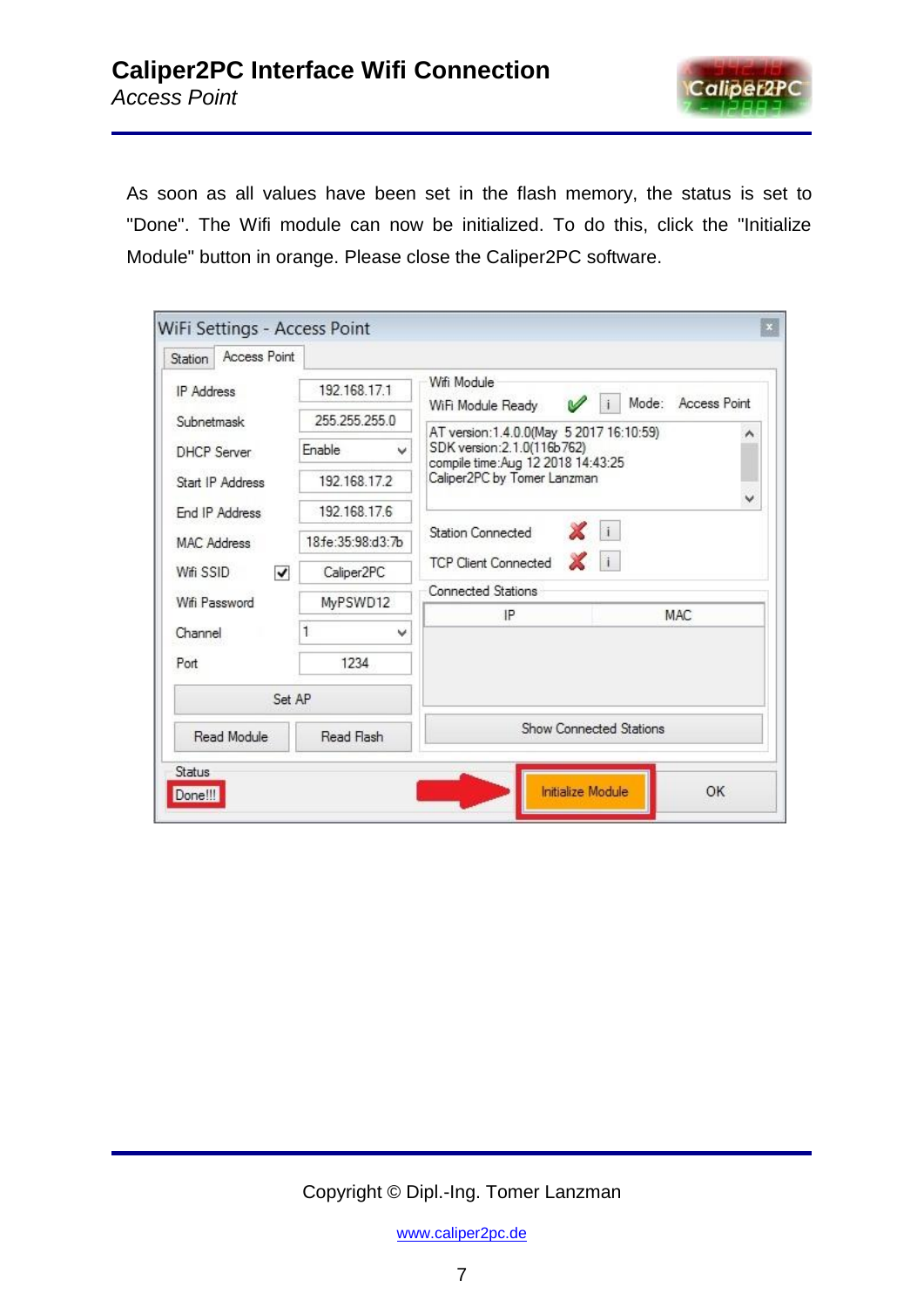

As soon as all values have been set in the flash memory, the status is set to "Done". The Wifi module can now be initialized. To do this, click the "Initialize Module" button in orange. Please close the Caliper2PC software.

| Access Point<br>Station              |                        |                                                                       |  |  |  |
|--------------------------------------|------------------------|-----------------------------------------------------------------------|--|--|--|
| <b>IP</b> Address                    | 192.168.17.1           | Wifi Module<br>Mode:<br><b>Access Point</b>                           |  |  |  |
| Subnetmask                           | 255.255.255.0          | V<br>WiFi Module Ready<br>AT version: 1.4.0.0(May 5 2017 16:10:59)    |  |  |  |
| <b>DHCP</b> Server                   | Enable<br>v            | ^<br>SDK version: 2.1.0(116b762)<br>compile time:Aug 12 2018 14:43:25 |  |  |  |
| Start IP Address                     | 192 168 17 2           | Caliper2PC by Tomer Lanzman                                           |  |  |  |
| End IP Address                       | 192.168.17.6           | v                                                                     |  |  |  |
| <b>MAC Address</b><br>Wifi SSID<br>√ | 18 fe: 35: 98: d3: 7b  | Xi<br><b>Station Connected</b>                                        |  |  |  |
|                                      | Caliper <sub>2PC</sub> | $\mathbb{X}$ i<br><b>TCP Client Connected</b>                         |  |  |  |
| Wifi Password                        | MyPSWD12               | Connected Stations                                                    |  |  |  |
| Channel                              | v                      | IP<br><b>MAC</b>                                                      |  |  |  |
| Port                                 | 1234                   |                                                                       |  |  |  |
| Set AP                               |                        |                                                                       |  |  |  |
| Read Module<br>Read Flash            |                        | Show Connected Stations                                               |  |  |  |

Copyright © Dipl.-Ing. Tomer Lanzman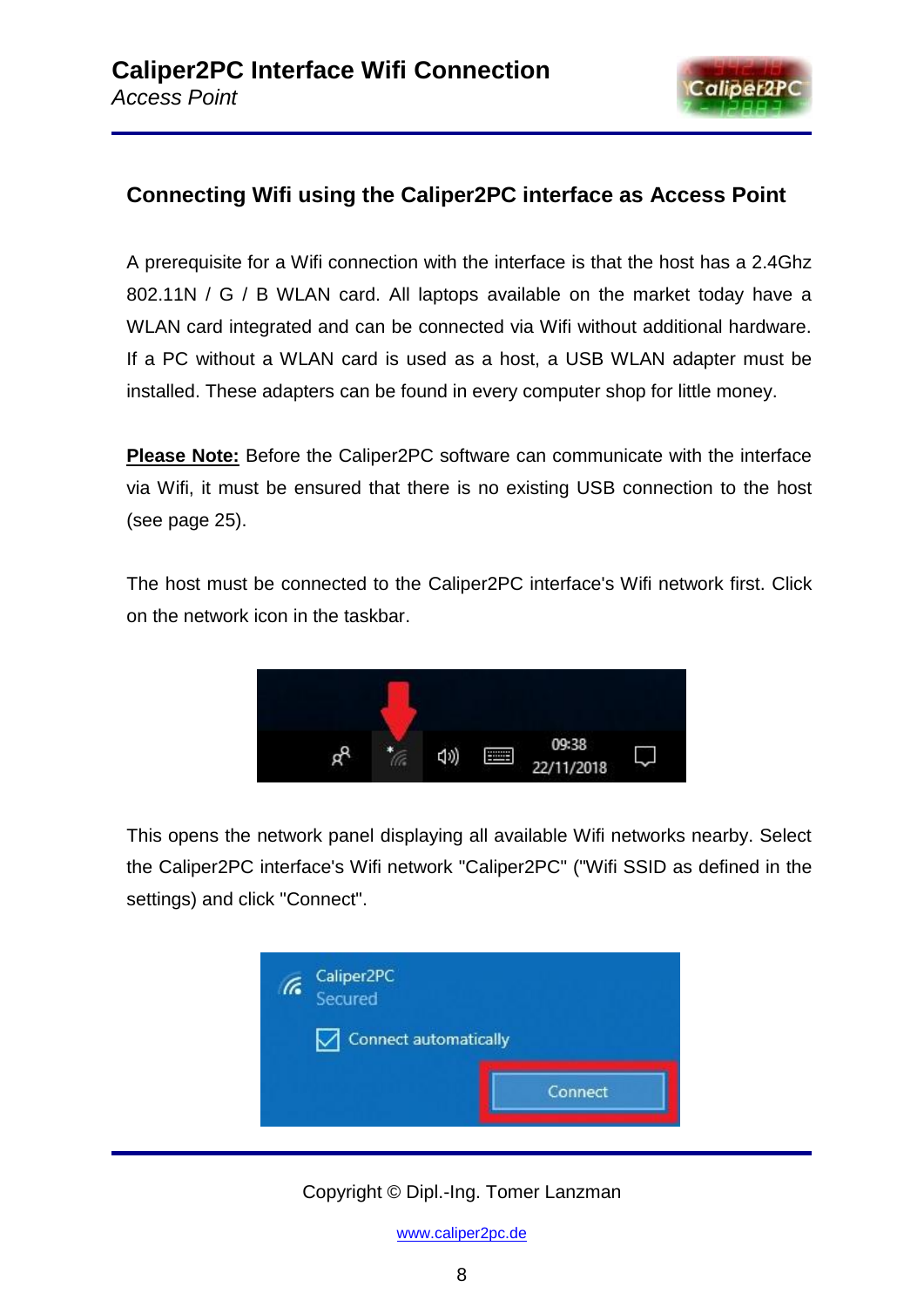

# **Connecting Wifi using the Caliper2PC interface as Access Point**

A prerequisite for a Wifi connection with the interface is that the host has a 2.4Ghz 802.11N / G / B WLAN card. All laptops available on the market today have a WLAN card integrated and can be connected via Wifi without additional hardware. If a PC without a WLAN card is used as a host, a USB WLAN adapter must be installed. These adapters can be found in every computer shop for little money.

**Please Note:** Before the Caliper2PC software can communicate with the interface via Wifi, it must be ensured that there is no existing USB connection to the host (see page 25).

The host must be connected to the Caliper2PC interface's Wifi network first. Click on the network icon in the taskbar.



This opens the network panel displaying all available Wifi networks nearby. Select the Caliper2PC interface's Wifi network "Caliper2PC" ("Wifi SSID as defined in the settings) and click "Connect".



Copyright © Dipl.-Ing. Tomer Lanzman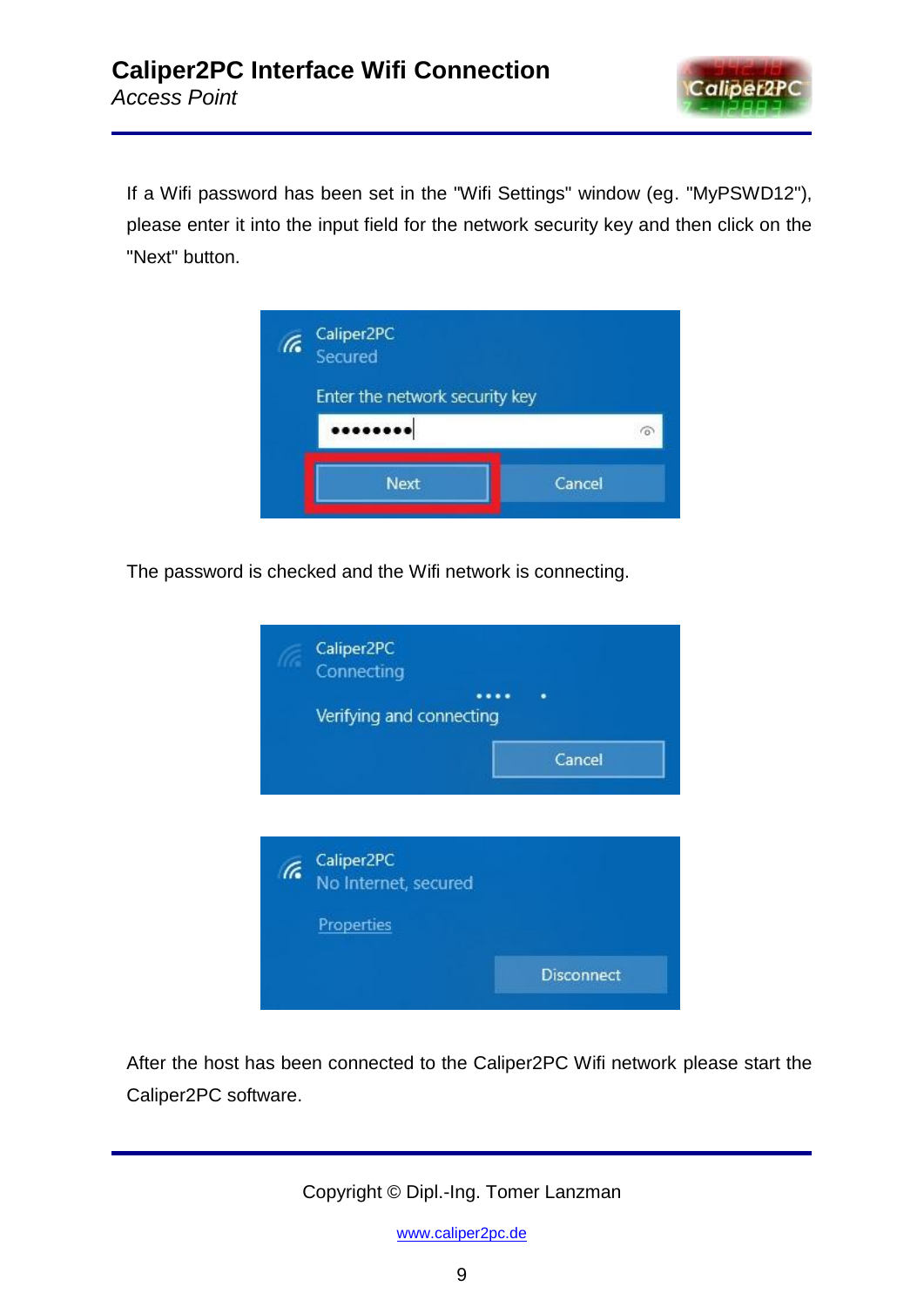

If a Wifi password has been set in the "Wifi Settings" window (eg. "MyPSWD12"), please enter it into the input field for the network security key and then click on the "Next" button.



The password is checked and the Wifi network is connecting.



After the host has been connected to the Caliper2PC Wifi network please start the Caliper2PC software.

Copyright © Dipl.-Ing. Tomer Lanzman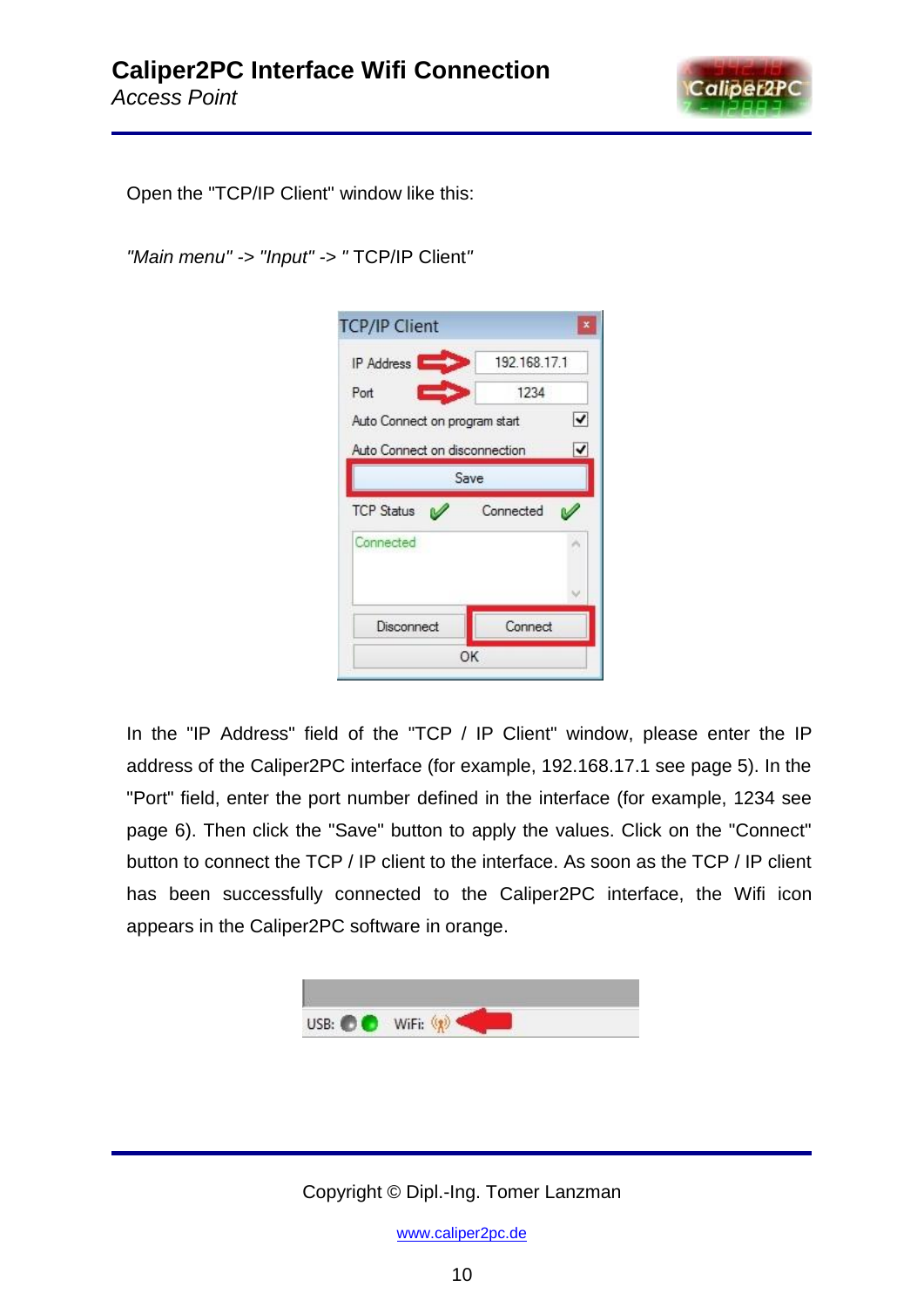

Open the "TCP/IP Client" window like this:

*"Main menu" -> "Input" -> "* TCP/IP Client*"*

| <b>IP Address</b>             | 192.168.17.1 |
|-------------------------------|--------------|
| Port                          | 1234         |
| Auto Connect on program start | ✓            |
| Auto Connect on disconnection | ✔            |
|                               | Save         |
|                               |              |
| <b>TCP Status</b>             | Connected    |
| Connected                     |              |
|                               |              |
|                               |              |

In the "IP Address" field of the "TCP / IP Client" window, please enter the IP address of the Caliper2PC interface (for example, 192.168.17.1 see page 5). In the "Port" field, enter the port number defined in the interface (for example, 1234 see page 6). Then click the "Save" button to apply the values. Click on the "Connect" button to connect the TCP / IP client to the interface. As soon as the TCP / IP client has been successfully connected to the Caliper2PC interface, the Wifi icon appears in the Caliper2PC software in orange.



Copyright © Dipl.-Ing. Tomer Lanzman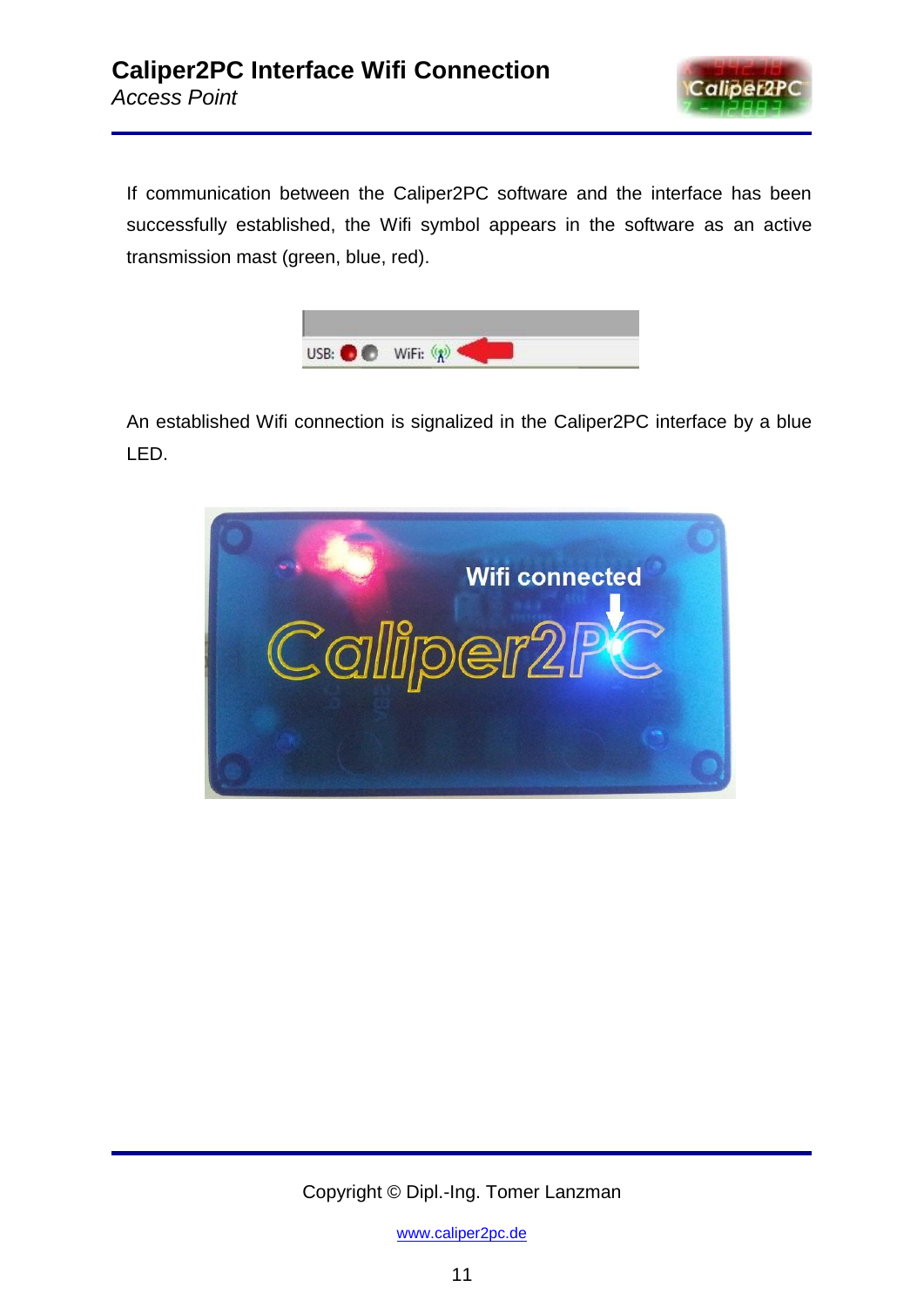

If communication between the Caliper2PC software and the interface has been successfully established, the Wifi symbol appears in the software as an active transmission mast (green, blue, red).



An established Wifi connection is signalized in the Caliper2PC interface by a blue LED.



Copyright © Dipl.-Ing. Tomer Lanzman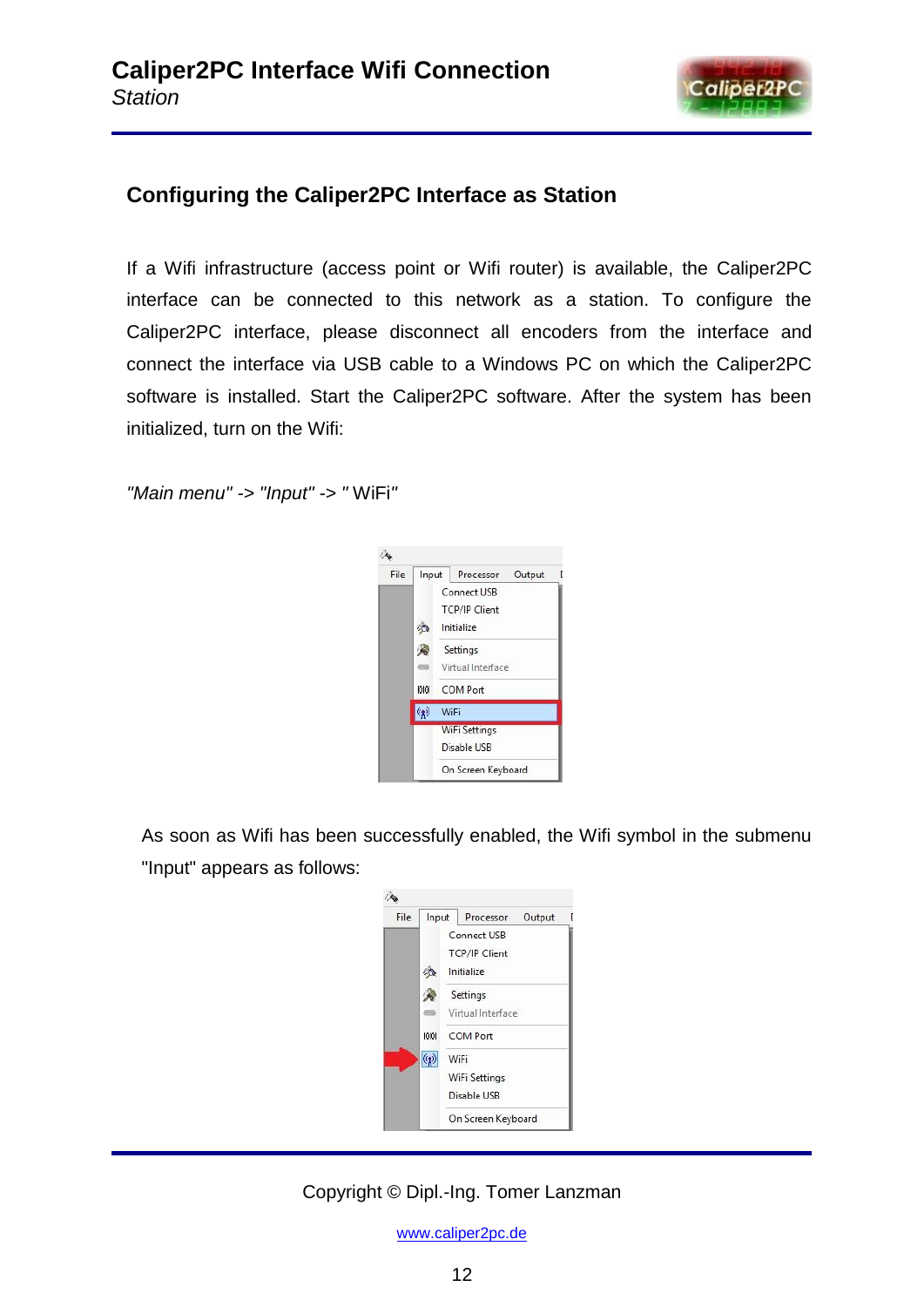

# **Configuring the Caliper2PC Interface as Station**

If a Wifi infrastructure (access point or Wifi router) is available, the Caliper2PC interface can be connected to this network as a station. To configure the Caliper2PC interface, please disconnect all encoders from the interface and connect the interface via USB cable to a Windows PC on which the Caliper2PC software is installed. Start the Caliper2PC software. After the system has been initialized, turn on the Wifi:

*"Main menu" -> "Input" -> "* WiFi*"*



As soon as Wifi has been successfully enabled, the Wifi symbol in the submenu "Input" appears as follows:



## Copyright © Dipl.-Ing. Tomer Lanzman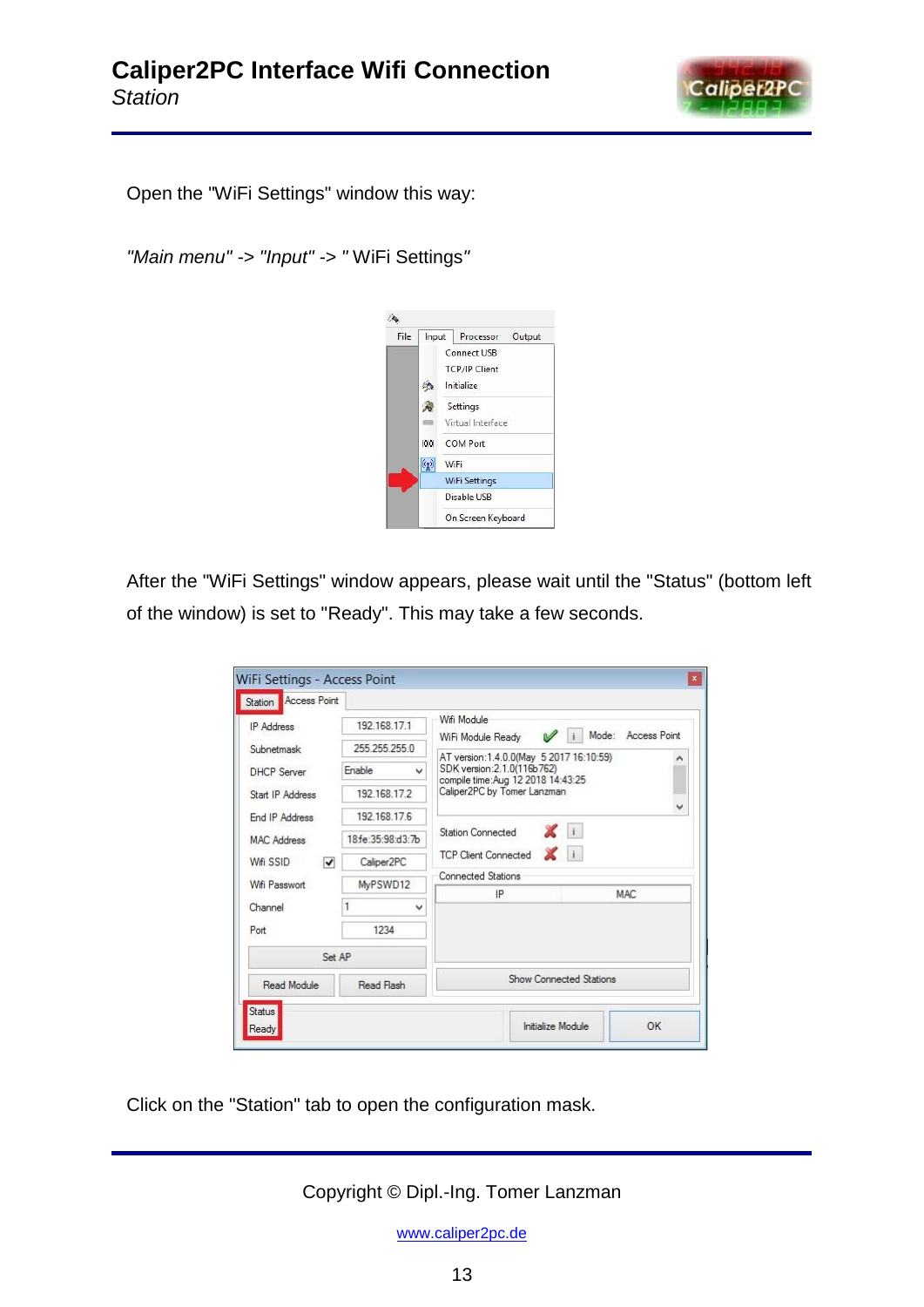

Open the "WiFi Settings" window this way:

*"Main menu" -> "Input" -> "* WiFi Settings*"*



After the "WiFi Settings" window appears, please wait until the "Status" (bottom left of the window) is set to "Ready". This may take a few seconds.

| 192.168.17.1                                | Wifi Module<br>Mode:<br><b>Access Point</b><br>$\mathcal{U}$ i        |  |  |  |
|---------------------------------------------|-----------------------------------------------------------------------|--|--|--|
| 255 255 255 0                               | WiFi Module Ready<br>AT version:1.4.0.0(May 5 2017 16:10:59)          |  |  |  |
| <b><i><u>Fnable</u></i></b><br>$\checkmark$ | ۸<br>SDK version: 2.1.0(116b762)<br>compile time:Aug 12 2018 14:43:25 |  |  |  |
| 192 168 17 2                                | Caliper2PC by Tomer Lanzman                                           |  |  |  |
| 192.168.17.6                                | v                                                                     |  |  |  |
| 18 fe: 35:98: d3: 7b                        | $\mathbf{X}$ i<br><b>Station Connected</b>                            |  |  |  |
| Caliper <sub>2PC</sub>                      | $\mathbf{X}$ i<br><b>TCP Client Connected</b>                         |  |  |  |
| MyPSWD12                                    | <b>Connected Stations</b>                                             |  |  |  |
| v                                           | IP<br><b>MAC</b>                                                      |  |  |  |
| 1234                                        |                                                                       |  |  |  |
|                                             |                                                                       |  |  |  |
| Read Flash                                  | Show Connected Stations                                               |  |  |  |
|                                             | Station <b>Access Point</b><br>Set AP                                 |  |  |  |

Click on the "Station" tab to open the configuration mask.

Copyright © Dipl.-Ing. Tomer Lanzman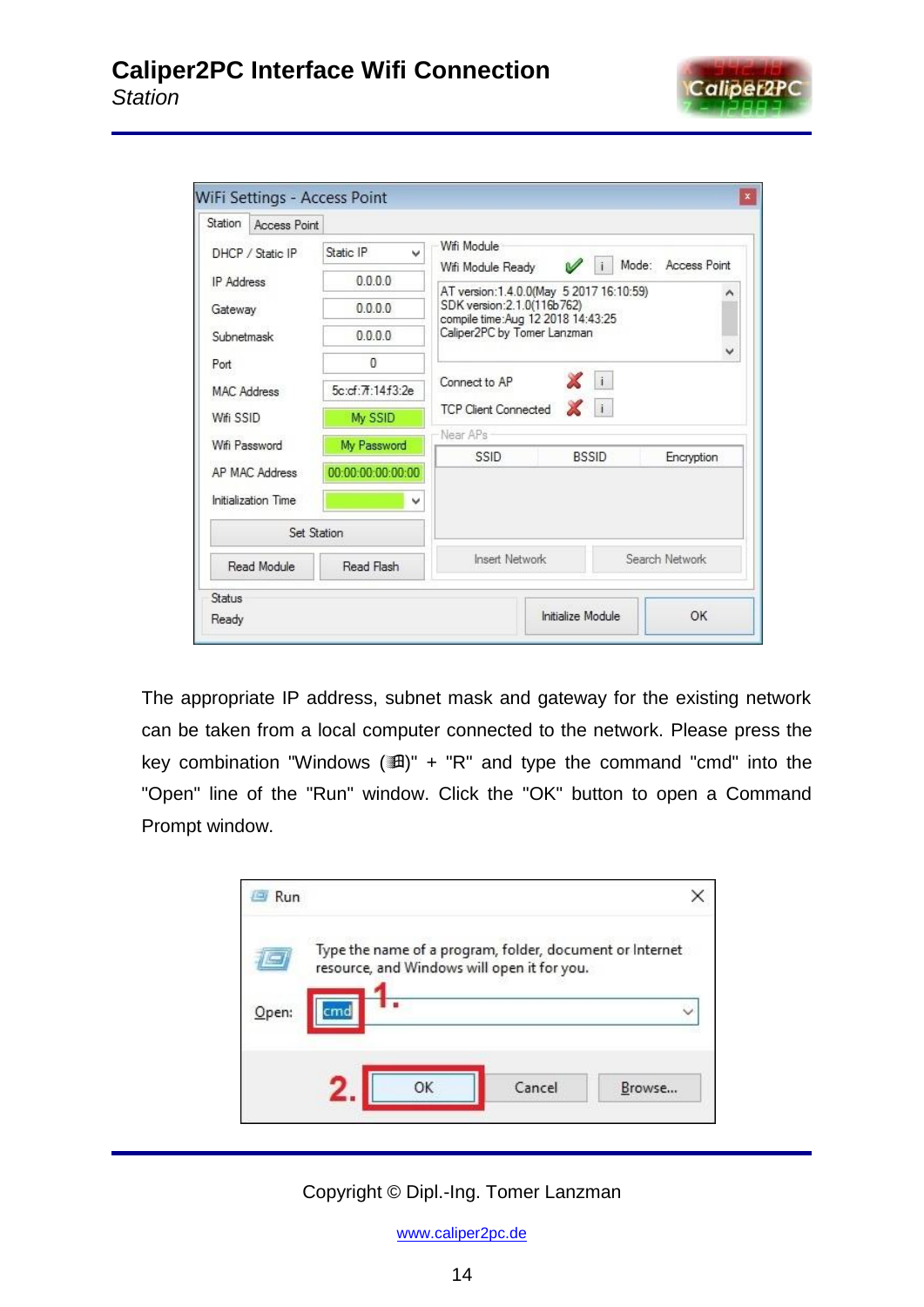

| Station               | Access Point |                   |                             |                                                                                                                                            |              |                |
|-----------------------|--------------|-------------------|-----------------------------|--------------------------------------------------------------------------------------------------------------------------------------------|--------------|----------------|
| DHCP / Static IP      |              | Static IP<br>w    | Wifi Module                 | Mode:<br>$\mathscr{A}$                                                                                                                     |              | Access Point   |
| <b>IP Address</b>     |              | 0.0.0.0           | Wifi Module Ready           |                                                                                                                                            |              |                |
| Gateway<br>Subnetmask |              | 0.0.0.0           |                             | AT version:1.4.0.0(May 5 2017 16:10:59)<br>SDK version: 2.1.0(116b762)<br>compile time:Aug 12 2018 14:43:25<br>Caliper2PC by Tomer Lanzman |              |                |
|                       |              | 0.0.0.0           |                             |                                                                                                                                            |              |                |
| Port                  |              |                   |                             |                                                                                                                                            | Xi           | v              |
| <b>MAC Address</b>    |              | 5c:cf:7f:14f3:2e  | Connect to AP               |                                                                                                                                            |              |                |
| Wifi SSID             |              | My SSID           | <b>TCP Client Connected</b> |                                                                                                                                            |              |                |
| Wifi Password         |              | My Password       | Near APs<br>SSID            |                                                                                                                                            | <b>BSSID</b> | Encryption     |
| AP MAC Address        |              | 00:00:00:00:00:00 |                             |                                                                                                                                            |              |                |
| Initialization Time   |              | v                 |                             |                                                                                                                                            |              |                |
|                       | Set Station  |                   |                             |                                                                                                                                            |              |                |
| Read Module           |              | Read Flash        | <b>Insert Network</b>       |                                                                                                                                            |              | Search Network |
| Status                |              |                   |                             |                                                                                                                                            |              |                |
| Ready                 |              |                   |                             | Initialize Module                                                                                                                          |              | OK             |

The appropriate IP address, subnet mask and gateway for the existing network can be taken from a local computer connected to the network. Please press the key combination "Windows  $(\mathbb{H})$ " + "R" and type the command "cmd" into the "Open" line of the "Run" window. Click the "OK" button to open a Command Prompt window.



Copyright © Dipl.-Ing. Tomer Lanzman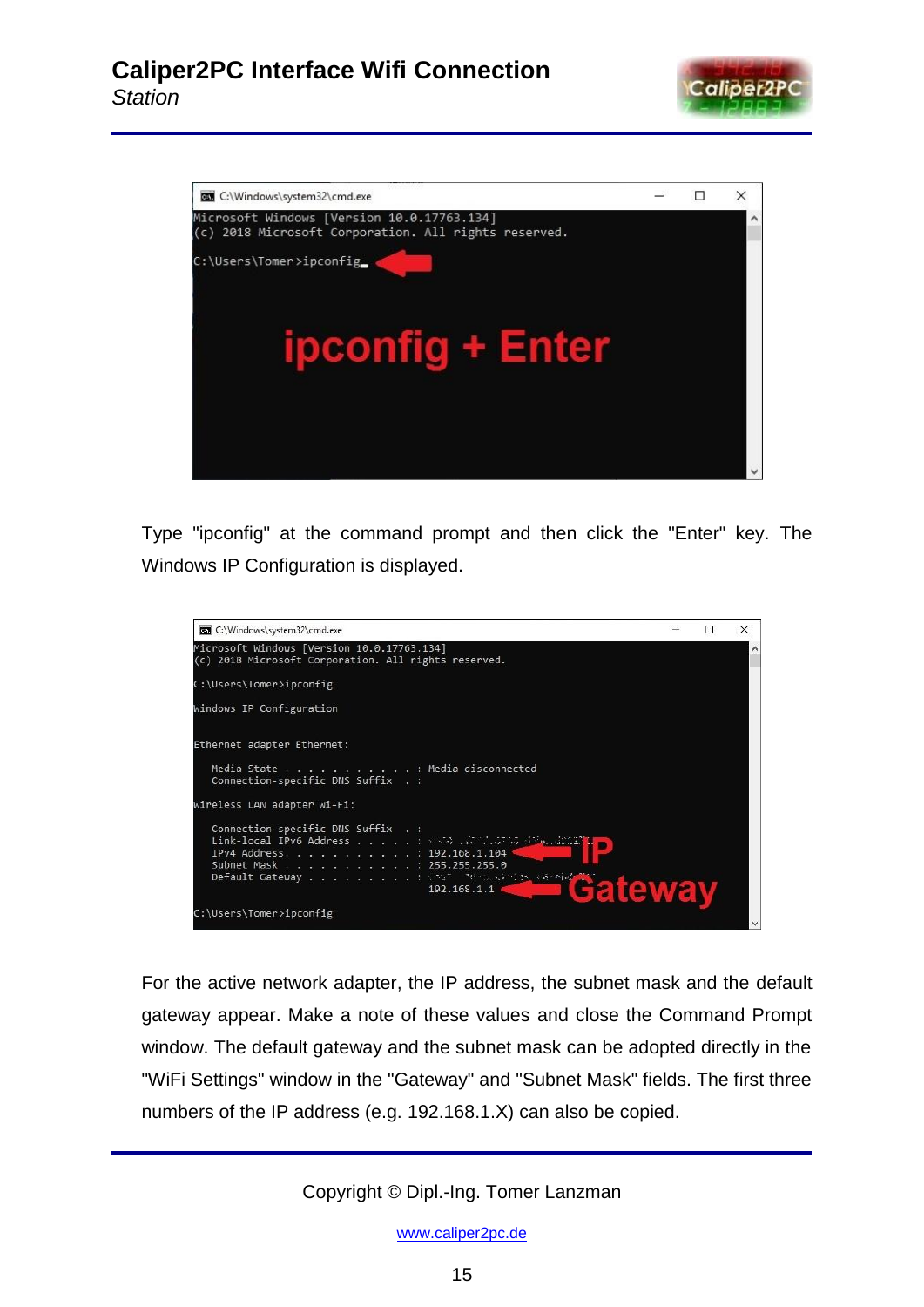



Type "ipconfig" at the command prompt and then click the "Enter" key. The Windows IP Configuration is displayed.



For the active network adapter, the IP address, the subnet mask and the default gateway appear. Make a note of these values and close the Command Prompt window. The default gateway and the subnet mask can be adopted directly in the "WiFi Settings" window in the "Gateway" and "Subnet Mask" fields. The first three numbers of the IP address (e.g. 192.168.1.X) can also be copied.

Copyright © Dipl.-Ing. Tomer Lanzman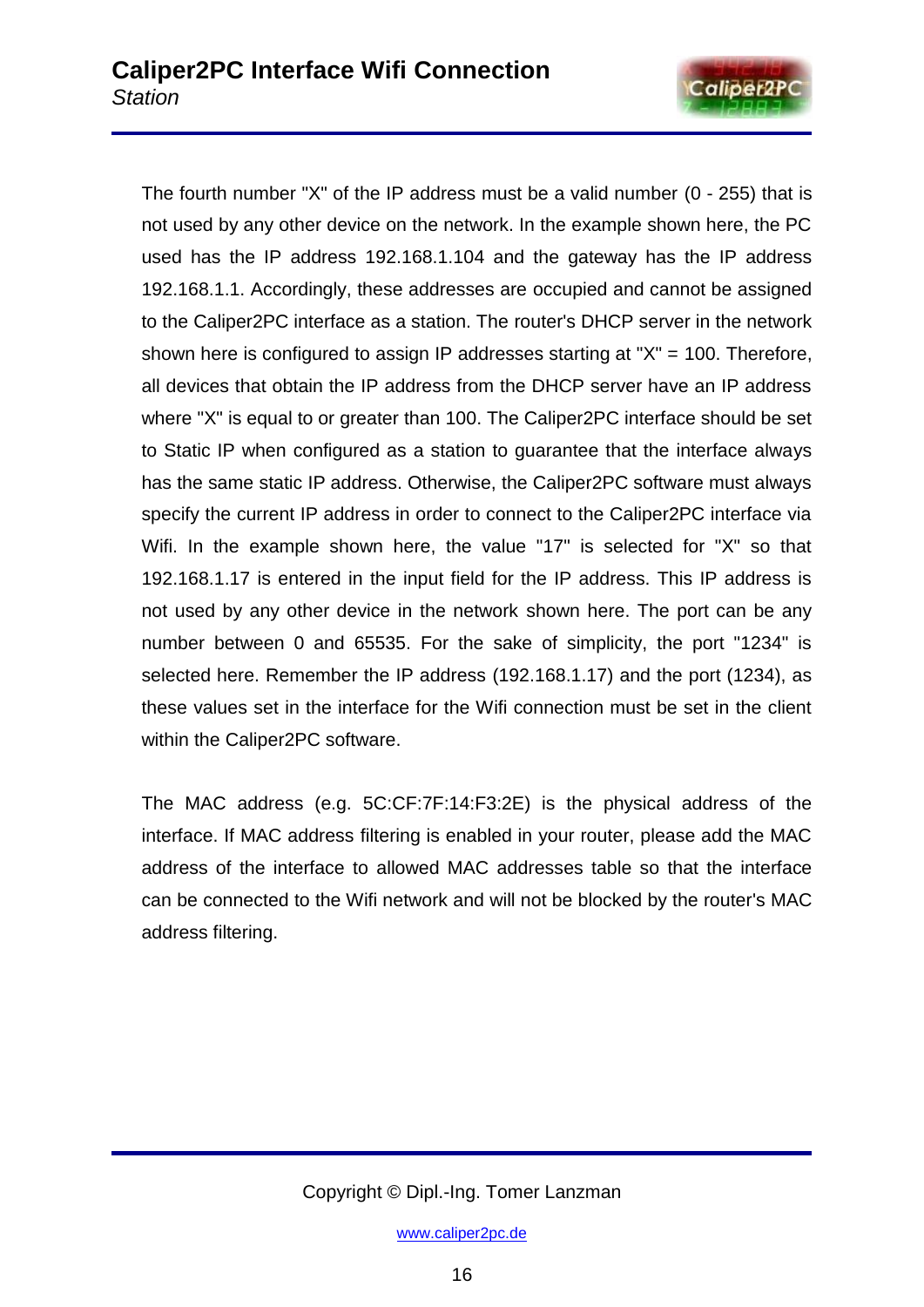

The fourth number "X" of the IP address must be a valid number (0 - 255) that is not used by any other device on the network. In the example shown here, the PC used has the IP address 192.168.1.104 and the gateway has the IP address 192.168.1.1. Accordingly, these addresses are occupied and cannot be assigned to the Caliper2PC interface as a station. The router's DHCP server in the network shown here is configured to assign IP addresses starting at "X" = 100. Therefore, all devices that obtain the IP address from the DHCP server have an IP address where "X" is equal to or greater than 100. The Caliper2PC interface should be set to Static IP when configured as a station to guarantee that the interface always has the same static IP address. Otherwise, the Caliper2PC software must always specify the current IP address in order to connect to the Caliper2PC interface via Wifi. In the example shown here, the value "17" is selected for "X" so that 192.168.1.17 is entered in the input field for the IP address. This IP address is not used by any other device in the network shown here. The port can be any number between 0 and 65535. For the sake of simplicity, the port "1234" is selected here. Remember the IP address (192.168.1.17) and the port (1234), as these values set in the interface for the Wifi connection must be set in the client within the Caliper2PC software.

The MAC address (e.g. 5C:CF:7F:14:F3:2E) is the physical address of the interface. If MAC address filtering is enabled in your router, please add the MAC address of the interface to allowed MAC addresses table so that the interface can be connected to the Wifi network and will not be blocked by the router's MAC address filtering.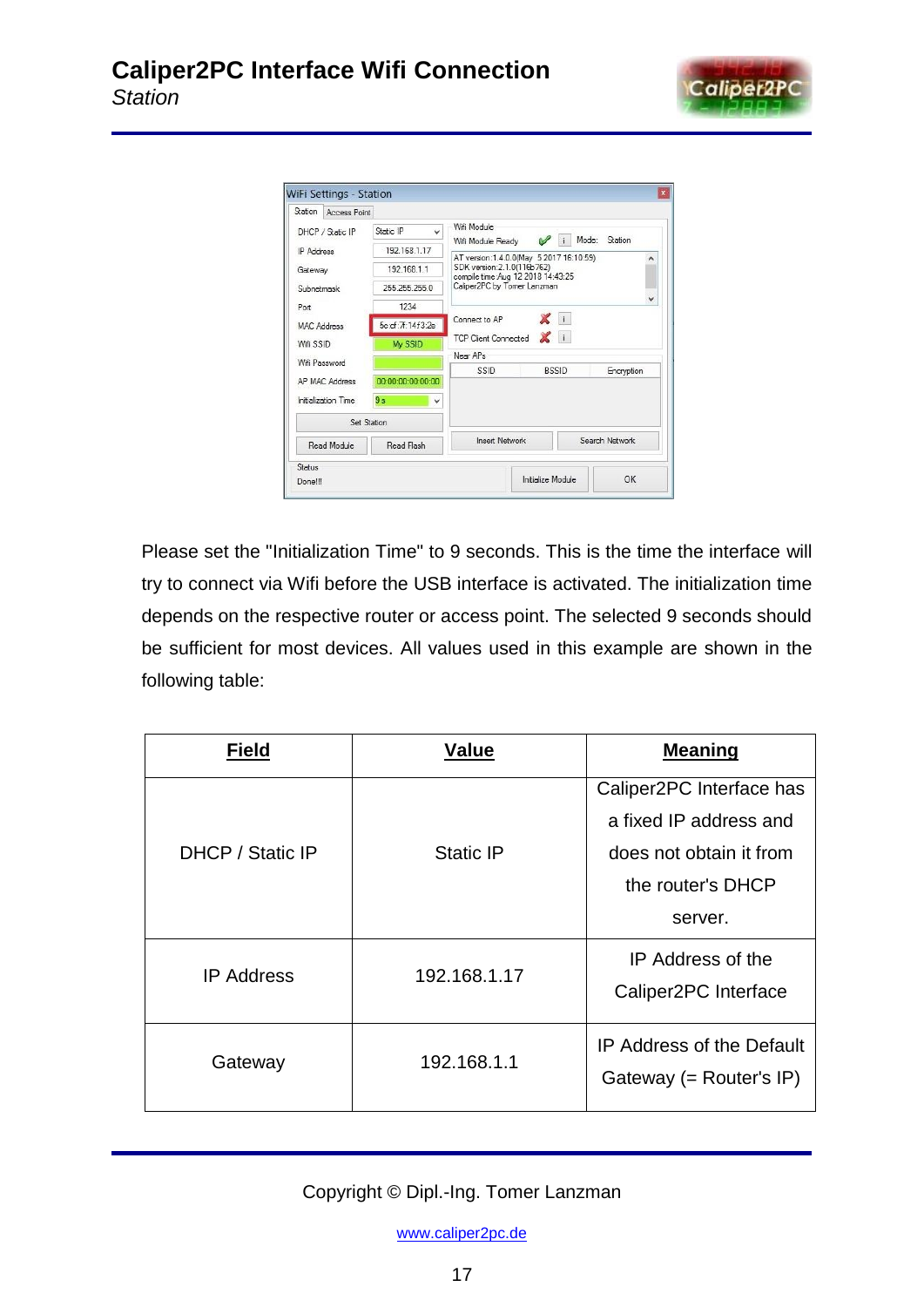

| Station                                    | Access Point        |                           |                                                                                                                                                                       |                   |       |                |
|--------------------------------------------|---------------------|---------------------------|-----------------------------------------------------------------------------------------------------------------------------------------------------------------------|-------------------|-------|----------------|
|                                            | DHCP / Static IP    | Static IP<br>$\checkmark$ | Wifi Module                                                                                                                                                           |                   | Mode: | Station        |
| <b>IP Address</b><br>Gateway<br>Subnetmask |                     | 192 168 1 17              | Wifi Module Ready<br>AT version: 1.4.0.0(May 5 2017 16:10:59)<br>۸<br>SDK version: 2.1.0(116b762)<br>compile time:Aug 12 2018 14:43:25<br>Caliper2PC by Tomer Lanzman |                   |       |                |
|                                            |                     | 192 168 1 1               |                                                                                                                                                                       |                   |       |                |
|                                            |                     | 255.255.255.0             |                                                                                                                                                                       |                   |       |                |
| Port                                       |                     | 1234                      |                                                                                                                                                                       |                   |       | $\checkmark$   |
| <b>MAC Address</b>                         |                     | 5c:cf:7f:14f3:2e          | Connect to AP                                                                                                                                                         | $\mathbf{X}$ ii   |       |                |
| Wifi SSID                                  |                     | My SSID                   | TCP Client Connected                                                                                                                                                  |                   |       |                |
| Wifi Password                              |                     |                           | Near APs                                                                                                                                                              |                   |       |                |
|                                            | AP MAC Address      | 00:00:00:00:00:00         | SSID                                                                                                                                                                  | <b>RSSID</b>      |       | Encryption     |
|                                            | Initialization Time | 9s<br>v                   |                                                                                                                                                                       |                   |       |                |
|                                            |                     | Set Station               |                                                                                                                                                                       |                   |       |                |
|                                            | Read Module         | Read Flash                | <b>Insert Network</b>                                                                                                                                                 |                   |       | Search Network |
| Status                                     |                     |                           |                                                                                                                                                                       |                   |       |                |
| Done!!!                                    |                     |                           |                                                                                                                                                                       | Initialize Module |       | OK.            |

Please set the "Initialization Time" to 9 seconds. This is the time the interface will try to connect via Wifi before the USB interface is activated. The initialization time depends on the respective router or access point. The selected 9 seconds should be sufficient for most devices. All values used in this example are shown in the following table:

| <b>Field</b>      | <b>Value</b> | <b>Meaning</b>                                                                                                |
|-------------------|--------------|---------------------------------------------------------------------------------------------------------------|
| DHCP / Static IP  | Static IP    | Caliper2PC Interface has<br>a fixed IP address and<br>does not obtain it from<br>the router's DHCP<br>server. |
| <b>IP Address</b> | 192.168.1.17 | IP Address of the<br>Caliper2PC Interface                                                                     |
| Gateway           | 192.168.1.1  | <b>IP Address of the Default</b><br>Gateway (= $Router's IP$ )                                                |

Copyright © Dipl.-Ing. Tomer Lanzman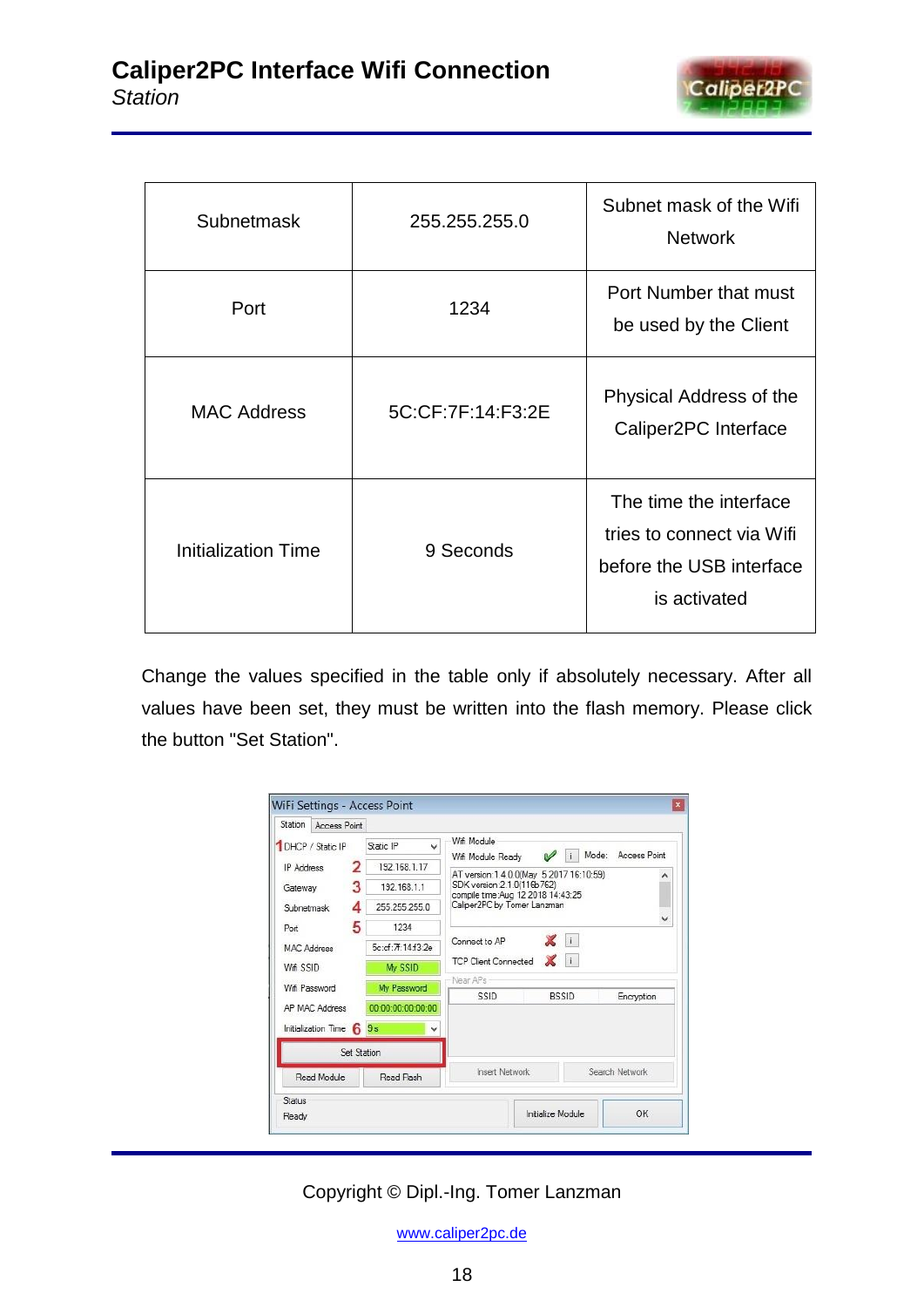

| <b>Subnetmask</b>          | 255.255.255.0     | Subnet mask of the Wifi<br><b>Network</b>                                                       |
|----------------------------|-------------------|-------------------------------------------------------------------------------------------------|
| Port                       | 1234              | Port Number that must<br>be used by the Client                                                  |
| <b>MAC Address</b>         | 5C:CF:7F:14:F3:2E | Physical Address of the<br>Caliper2PC Interface                                                 |
| <b>Initialization Time</b> | 9 Seconds         | The time the interface<br>tries to connect via Wifi<br>before the USB interface<br>is activated |

Change the values specified in the table only if absolutely necessary. After all values have been set, they must be written into the flash memory. Please click the button "Set Station".

| Station<br>Access Point  |   |                           |                                                                   |                   |              |                     |
|--------------------------|---|---------------------------|-------------------------------------------------------------------|-------------------|--------------|---------------------|
| 1 DHCP / Static IP       |   | Static IP<br>$\checkmark$ | Wifi Module                                                       |                   | Mode:        | <b>Access Point</b> |
| <b>IP Address</b>        | 2 | 192.168.1.17              | Wifi Module Ready<br>AT version:1.4.0.0(May 5 2017 16:10:59)      | $\mathscr{A}$     |              |                     |
| Gateway                  | 3 | 192 168 1 1               | SDK version: 2.1.0(116b762)<br>compile time: Aug 12 2018 14:43:25 |                   |              |                     |
| Subnetmask               | Δ | 255.255.255.0             | Caliper2PC by Tomer Lanzman                                       |                   |              |                     |
| Port                     | 5 | 1234                      |                                                                   |                   |              | v                   |
| <b>MAC Address</b>       |   | 5c:cf:7f:14f3:2e          | Connect to AP                                                     |                   | XII          |                     |
| Wifi SSID                |   | My SSID                   | <b>TCP Client Connected</b>                                       | $\mathbf{X}$      |              |                     |
| Wifi Password            |   | My Password               | Near APs                                                          |                   |              |                     |
| AP MAC Address           |   | 00:00:00:00:00:00         | SSID                                                              |                   | <b>BSSID</b> | Encryption          |
| Initialization Time 6 9s |   | v                         |                                                                   |                   |              |                     |
|                          |   | Set Station               |                                                                   |                   |              |                     |
| Read Module              |   | Read Flash                | <b>Insert Network</b>                                             |                   |              | Search Network      |
| Status                   |   |                           |                                                                   |                   |              |                     |
| Ready                    |   |                           |                                                                   | Initialize Module |              | OK                  |

Copyright © Dipl.-Ing. Tomer Lanzman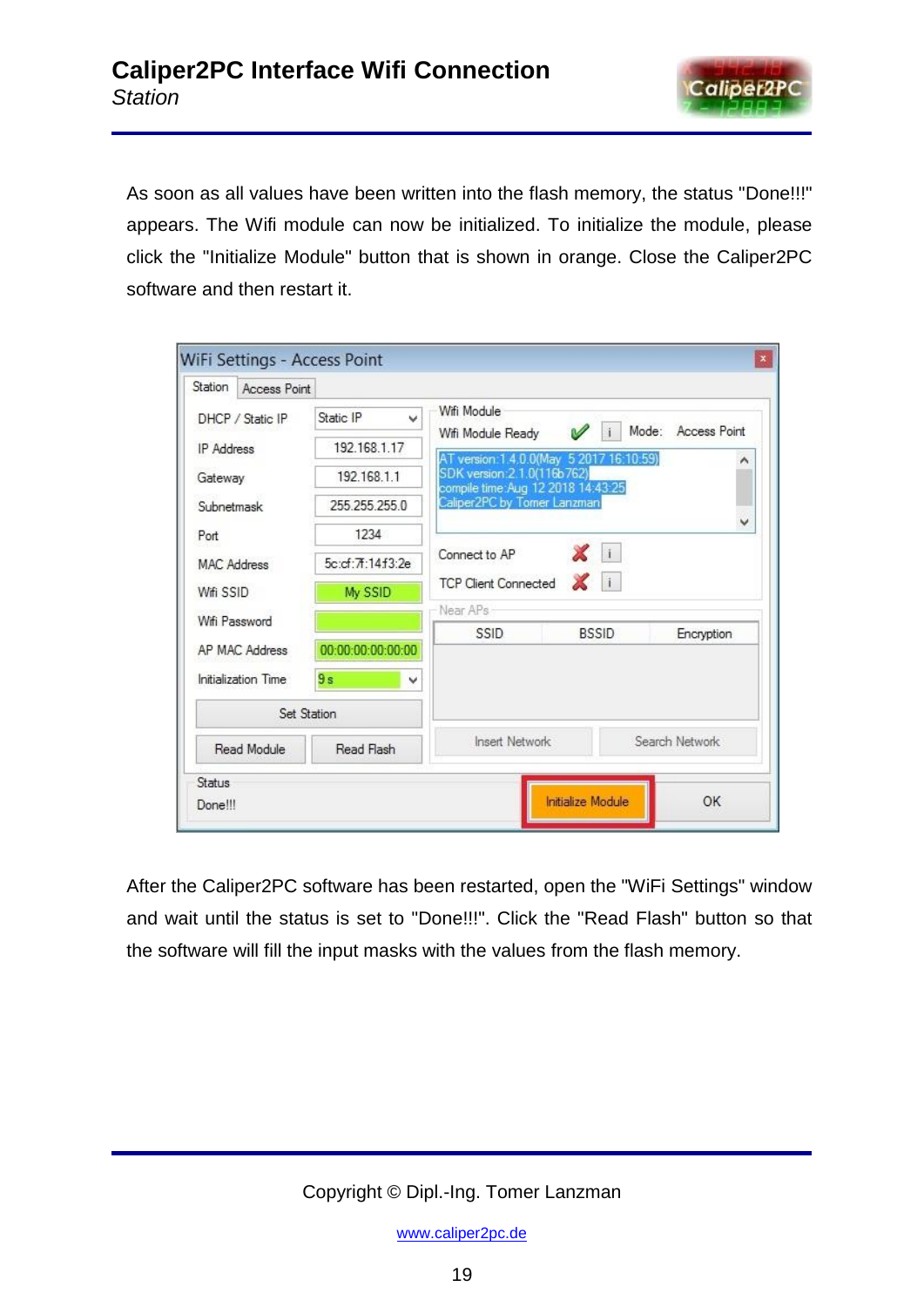

As soon as all values have been written into the flash memory, the status "Done!!!" appears. The Wifi module can now be initialized. To initialize the module, please click the "Initialize Module" button that is shown in orange. Close the Caliper2PC software and then restart it.

| Station<br>Access Point |                   |                                                                         |                     |
|-------------------------|-------------------|-------------------------------------------------------------------------|---------------------|
| DHCP / Static IP        | Static IP<br>v    | Wifi Module                                                             |                     |
| <b>IP</b> Address       | 192.168.1.17      | Mode:<br>V<br>Wifi Module Ready                                         | <b>Access Point</b> |
| Gateway                 | 192 168 1 1       | AT version: 1.4.0.0(May 5 2017 16:10:59)<br>SDK version: 2.1.0(116b762) | ۸                   |
| Subnetmask              | 255 255 255 0     | compile time: Aug 12 2018 14:43:25<br>Caliper2PC by Tomer Lanzman       |                     |
| Port                    | 1234              |                                                                         |                     |
| <b>MAC Address</b>      | 5c:cf:7f:14f3:2e  | Xi<br>Connect to AP                                                     |                     |
| Wifi SSID               | My SSID           | $\mathbb{Z}$ 1<br><b>TCP Client Connected</b>                           |                     |
| Wifi Password           |                   | Near APs                                                                |                     |
| AP MAC Address          | 00:00:00:00:00:00 | SSID<br><b>BSSID</b>                                                    | Encryption          |
| Initialization Time     | 9s<br>٧           |                                                                         |                     |
|                         | Set Station       |                                                                         |                     |
| Read Module             | Read Flash        | <b>Insert Network</b><br>Search Network                                 |                     |
| Status                  |                   |                                                                         |                     |

After the Caliper2PC software has been restarted, open the "WiFi Settings" window and wait until the status is set to "Done!!!". Click the "Read Flash" button so that the software will fill the input masks with the values from the flash memory.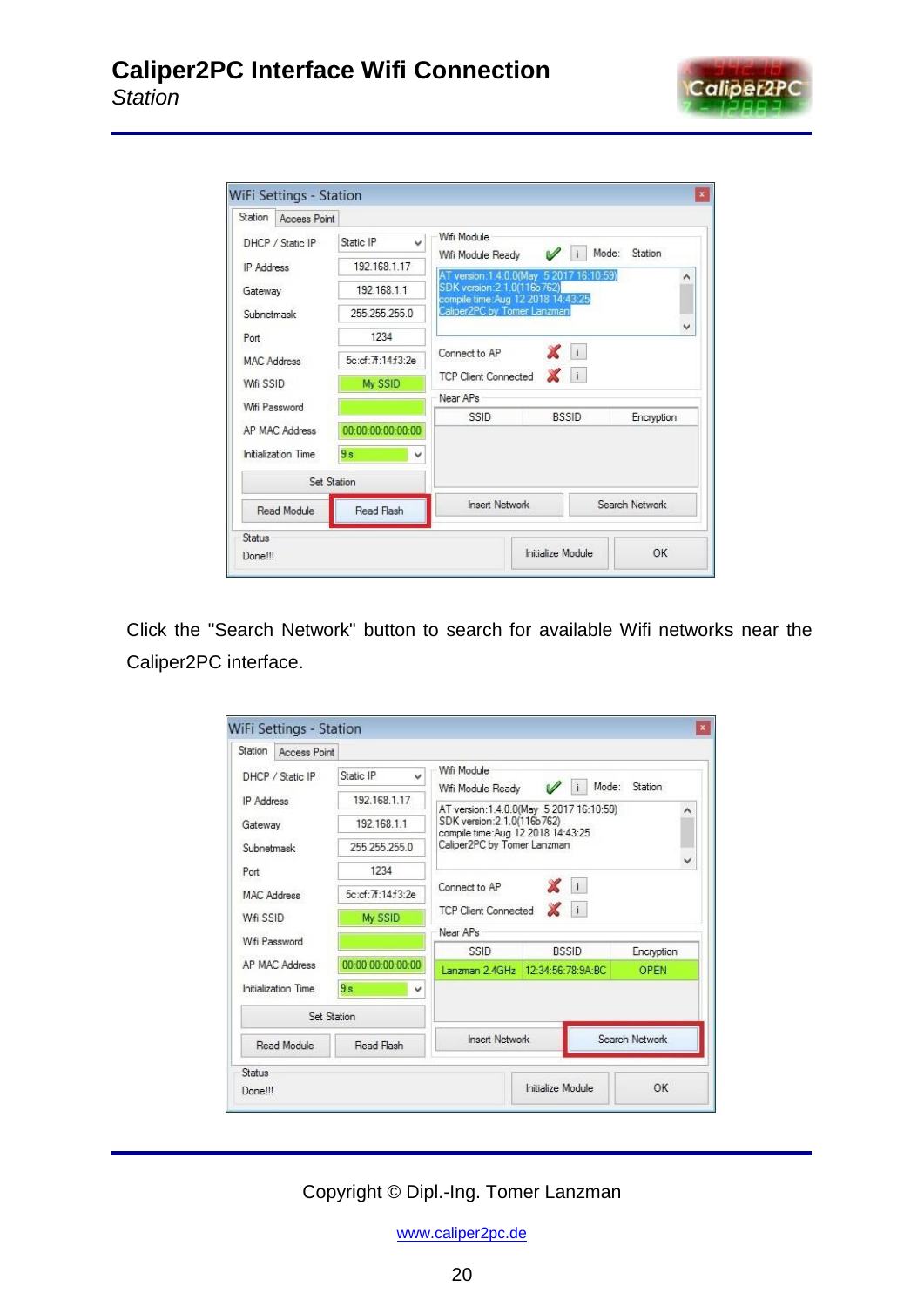

| Station<br>Access Point    |                           |                                                                                |                  |
|----------------------------|---------------------------|--------------------------------------------------------------------------------|------------------|
| DHCP / Static IP           | Static IP<br>$\checkmark$ | Wifi Module                                                                    | Mode:<br>Station |
| <b>IP</b> Address          | 192 168 1 17              | $\mathscr{A}$<br>Wifi Module Ready<br>AT version: 1.4.0.0(May 5 2017 16:10:59) | ^                |
| Gateway                    | 192 168 1 1               | SDK version: 2.1.0(116b762)<br>compile time: Aug 12 2018 14:43:25              |                  |
| Subnetmask                 | 255.255.255.0             | Caliper2PC by Tomer Lanzman                                                    |                  |
| Port                       | 1234                      |                                                                                | $\checkmark$     |
| MAC Address                | 5c:cf: 7f:14f3:2e         | $\mathbf{X}$ i<br>Connect to AP                                                |                  |
| Wifi SSID                  | My SSID                   | $\mathbf{X}$ i<br><b>TCP Client Connected</b>                                  |                  |
| Wifi Password              |                           | Near APs                                                                       |                  |
| AP MAC Address             | 00:00:00:00:00:00         | SSID<br><b>BSSID</b>                                                           | Encryption       |
| <b>Initialization Time</b> | 9s<br>v                   |                                                                                |                  |
|                            | Set Station               |                                                                                |                  |
| Read Module                | Read Flash                | <b>Insert Network</b><br>Search Network                                        |                  |
| Status                     |                           |                                                                                |                  |
| Done!!!                    |                           | Initialize Module                                                              | OK               |

Click the "Search Network" button to search for available Wifi networks near the Caliper2PC interface.

| Station                   | Access Point        |                                         |                                                                                                                                            |                   |             |
|---------------------------|---------------------|-----------------------------------------|--------------------------------------------------------------------------------------------------------------------------------------------|-------------------|-------------|
|                           | DHCP / Static IP    | Static IP<br>v                          | Wifi Module                                                                                                                                | Mode:             | Station     |
| <b>IP Address</b>         |                     | 192.168.1.17                            | Wifi Module Ready                                                                                                                          |                   | ́           |
| Gateway<br>Subnetmask     |                     | 192 168 1.1                             | AT version:1.4.0.0(May 5 2017 16:10:59)<br>SDK version: 2.1.0(116b762)<br>compile time:Aug 12 2018 14:43:25<br>Caliper2PC by Tomer Lanzman |                   |             |
|                           |                     | 255.255.255.0                           |                                                                                                                                            |                   |             |
| Port                      |                     | 1234                                    |                                                                                                                                            |                   |             |
|                           | <b>MAC Address</b>  | 5c:cf:7f:14f3:2e                        | Connect to AP                                                                                                                              | X i               |             |
| Wifi SSID                 |                     | My SSID                                 | <b>TCP Client Connected</b>                                                                                                                | Xi                |             |
|                           | Wifi Password       |                                         | Near APs                                                                                                                                   |                   |             |
|                           |                     |                                         | <b>SSID</b>                                                                                                                                | <b>BSSID</b>      | Encryption  |
|                           | AP MAC Address      | 00:00:00:00:00:00                       | Lanzman 2.4GHz                                                                                                                             | 12:34:56:78:9A:BC | <b>OPEN</b> |
|                           | Initialization Time | 9s<br>v                                 |                                                                                                                                            |                   |             |
|                           |                     | Set Station                             |                                                                                                                                            |                   |             |
| Read Module<br>Read Flash |                     | Search Network<br><b>Insert Network</b> |                                                                                                                                            |                   |             |
| Status                    |                     |                                         |                                                                                                                                            |                   |             |
| Done!!!                   |                     |                                         |                                                                                                                                            | Initialize Module | OK          |

Copyright © Dipl.-Ing. Tomer Lanzman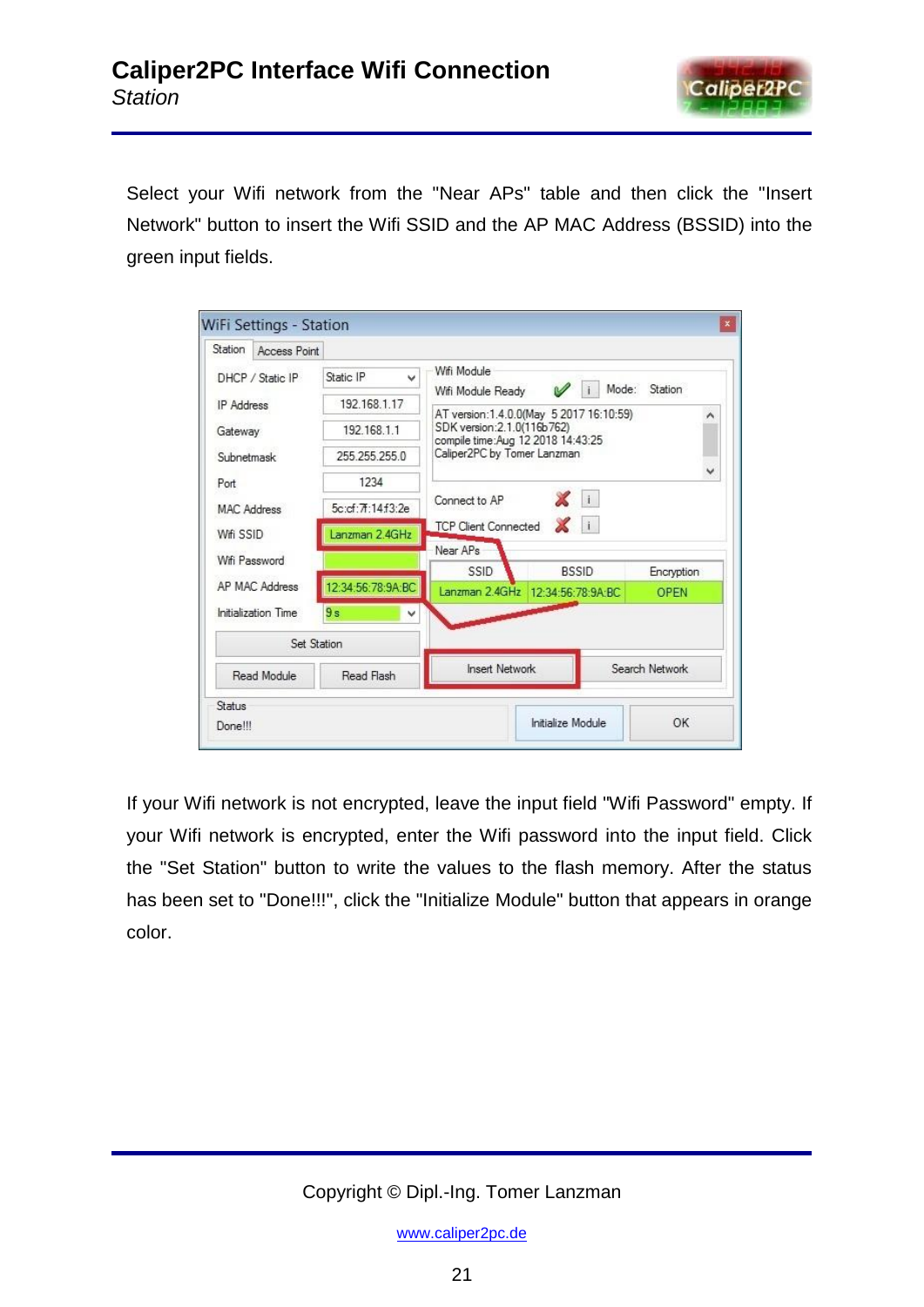

Select your Wifi network from the "Near APs" table and then click the "Insert Network" button to insert the Wifi SSID and the AP MAC Address (BSSID) into the green input fields.

| Station<br>Access Point   |                   |                                                                                                                   |                   |                |  |  |
|---------------------------|-------------------|-------------------------------------------------------------------------------------------------------------------|-------------------|----------------|--|--|
| DHCP / Static IP          | Static IP<br>v    | Wifi Module                                                                                                       | Mode:             | Station        |  |  |
| IP Address                | 192.168.1.17      | Wifi Module Ready                                                                                                 |                   |                |  |  |
| Gateway                   | 192.168.1.1       | AT version: 1.4.0.0(May 5 2017 16:10:59)<br>۸<br>SDK version: 2.1.0(116b762)<br>compile time:Aug 12 2018 14:43:25 |                   |                |  |  |
| Subnetmask                | 255.255.255.0     | Caliper2PC by Tomer Lanzman                                                                                       |                   |                |  |  |
| Port                      | 1234              |                                                                                                                   |                   | v              |  |  |
| MAC Address               | 5c:cf:7f:14f3:2e  | $\mathbb{X}$ i<br>Connect to AP                                                                                   |                   |                |  |  |
| Wifi SSID                 | Lanzman 2.4GHz    | <b>TCP Client Connected</b>                                                                                       | XII               |                |  |  |
| Wifi Password             |                   | Near APs<br>SSID                                                                                                  | <b>BSSID</b>      | Encryption     |  |  |
| AP MAC Address            | 12:34:56:78:9A:BC | Lanzman 2.4GHz                                                                                                    | 12:34:56:78:9A:BC | <b>OPEN</b>    |  |  |
| Initialization Time       | 9s<br>v           |                                                                                                                   |                   |                |  |  |
|                           | Set Station       |                                                                                                                   |                   |                |  |  |
| Read Module<br>Read Flash |                   | <b>Insert Network</b>                                                                                             |                   | Search Network |  |  |
| Status                    |                   |                                                                                                                   |                   |                |  |  |
| Done!!!                   |                   | Initialize Module                                                                                                 |                   | OK             |  |  |

If your Wifi network is not encrypted, leave the input field "Wifi Password" empty. If your Wifi network is encrypted, enter the Wifi password into the input field. Click the "Set Station" button to write the values to the flash memory. After the status has been set to "Done!!!", click the "Initialize Module" button that appears in orange color.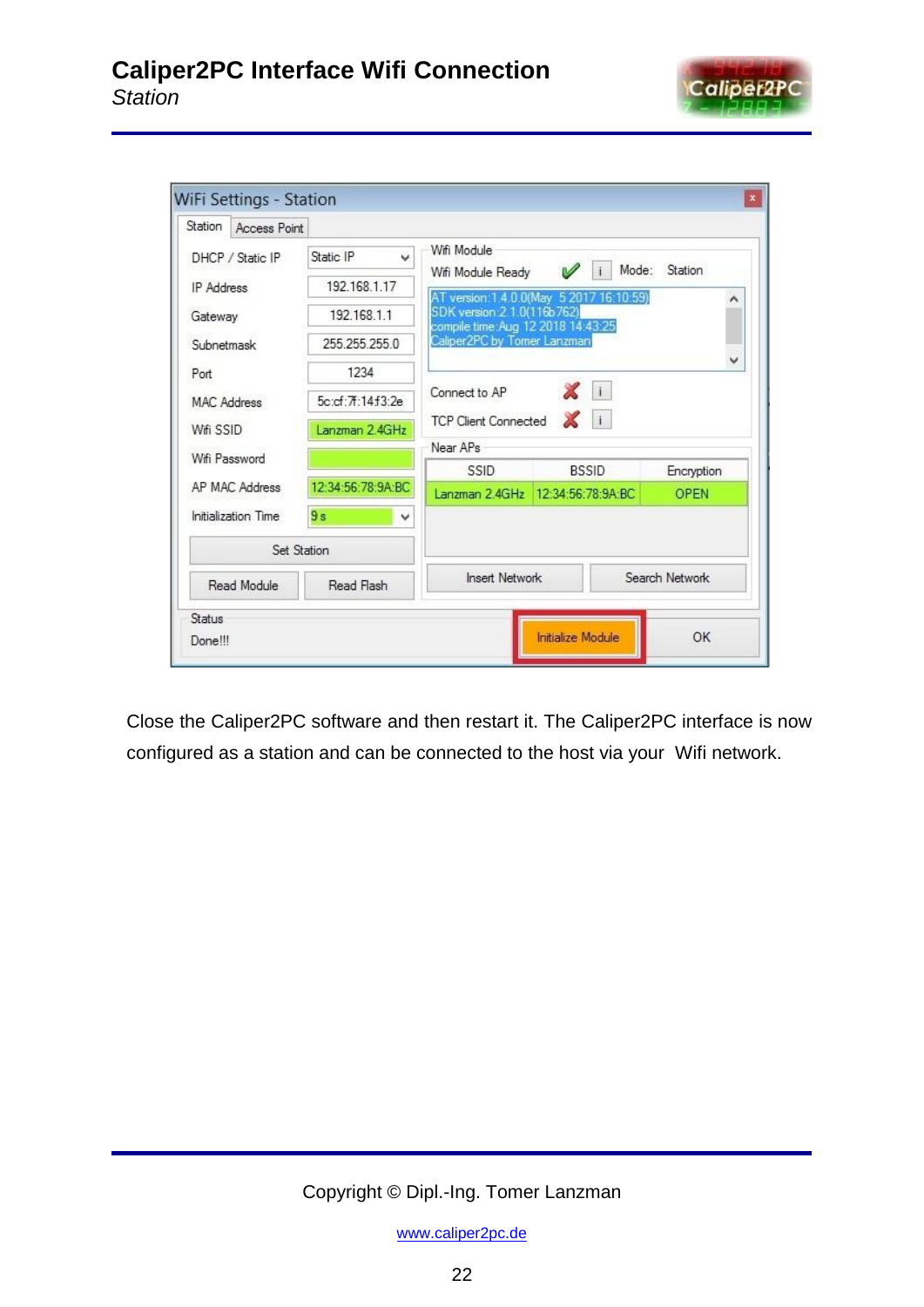

| Access Point                       |                                         |                        |                                                                                                                                                                                                                                                                                  |  |  |
|------------------------------------|-----------------------------------------|------------------------|----------------------------------------------------------------------------------------------------------------------------------------------------------------------------------------------------------------------------------------------------------------------------------|--|--|
| Static IP<br>DHCP / Static IP<br>v | Wifi Module                             |                        |                                                                                                                                                                                                                                                                                  |  |  |
| 192.168.1.17                       |                                         |                        | Station                                                                                                                                                                                                                                                                          |  |  |
| 192.168.1.1                        |                                         |                        | ^                                                                                                                                                                                                                                                                                |  |  |
| 255.255.255.0                      |                                         |                        |                                                                                                                                                                                                                                                                                  |  |  |
| 1234                               |                                         |                        | v                                                                                                                                                                                                                                                                                |  |  |
| 5c:cf:7f:14f3:2e                   | Connect to AP                           |                        |                                                                                                                                                                                                                                                                                  |  |  |
| Lanzman 2.4GHz                     |                                         |                        |                                                                                                                                                                                                                                                                                  |  |  |
|                                    | Near APs                                |                        |                                                                                                                                                                                                                                                                                  |  |  |
|                                    | SSID                                    | <b>BSSID</b>           | Encryption                                                                                                                                                                                                                                                                       |  |  |
| AP MAC Address                     |                                         |                        | <b>OPEN</b>                                                                                                                                                                                                                                                                      |  |  |
| 9s<br>Initialization Time          |                                         |                        |                                                                                                                                                                                                                                                                                  |  |  |
| Set Station                        |                                         |                        |                                                                                                                                                                                                                                                                                  |  |  |
| Read Module<br>Read Flash          | <b>Insert Network</b><br>Search Network |                        |                                                                                                                                                                                                                                                                                  |  |  |
|                                    |                                         |                        |                                                                                                                                                                                                                                                                                  |  |  |
|                                    |                                         | 12:34:56:78:9A:BC<br>v | Mode:<br>V<br>Lί<br>Wifi Module Ready<br>AT version: 1.4.0.0(May 5 2017 16:10:59)<br>SDK version: 2.1.0(116b762)<br>compile time: Aug 12 2018 14:43:25<br>Caliper2PC by Tomer Lanzman<br>Xi<br>$\mathbb{Z}$ i<br><b>TCP Client Connected</b><br>Lanzman 2.4GHz 12:34:56:78:9A:BC |  |  |

Close the Caliper2PC software and then restart it. The Caliper2PC interface is now configured as a station and can be connected to the host via your Wifi network.

## Copyright © Dipl.-Ing. Tomer Lanzman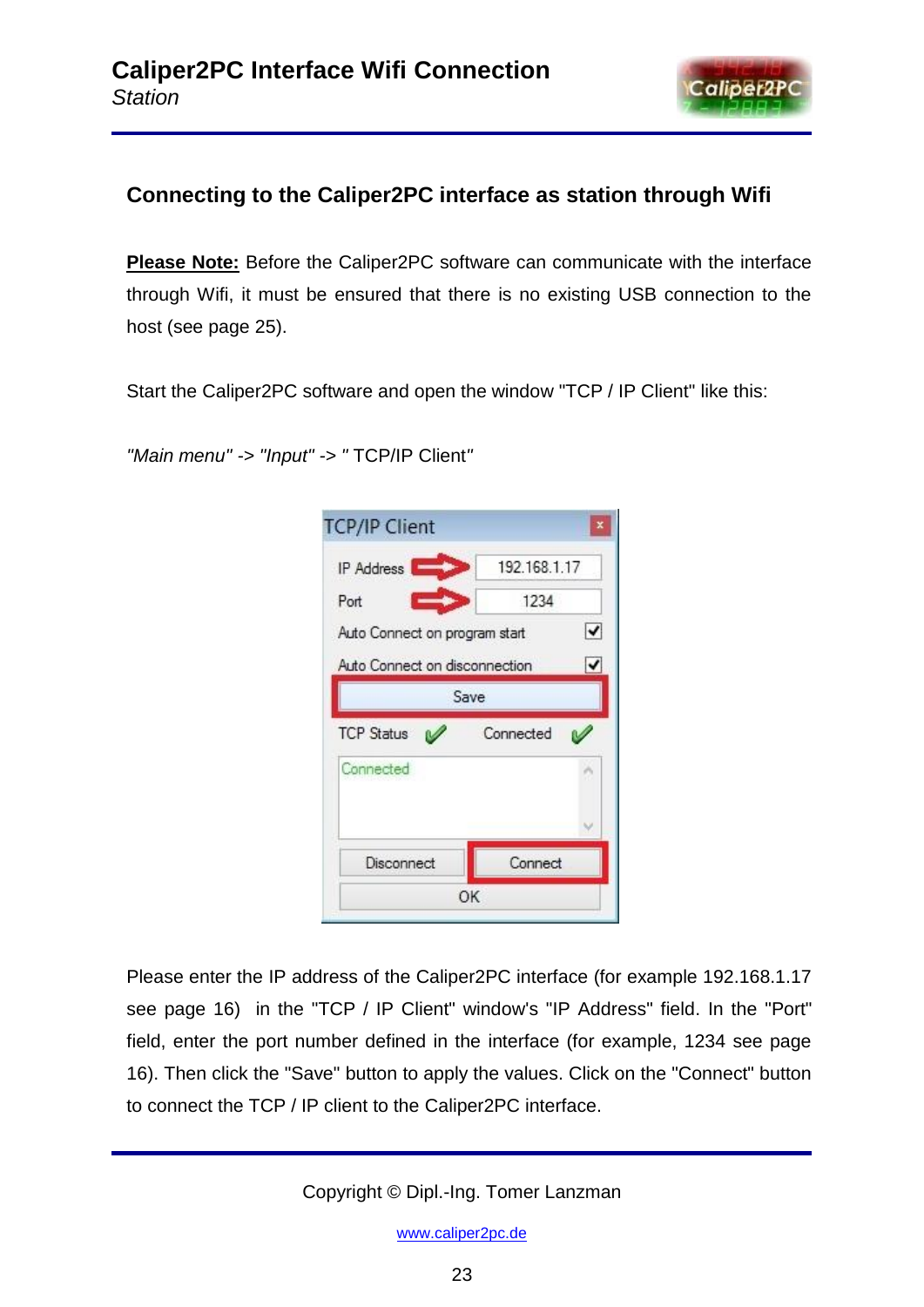

# **Connecting to the Caliper2PC interface as station through Wifi**

**Please Note:** Before the Caliper2PC software can communicate with the interface through Wifi, it must be ensured that there is no existing USB connection to the host (see page 25).

Start the Caliper2PC software and open the window "TCP / IP Client" like this:

*"Main menu" -> "Input" -> "* TCP/IP Client*"*

| IP Address                    | 192.168.1.17 |   |
|-------------------------------|--------------|---|
| Port                          | 1234         |   |
| Auto Connect on program start |              | ✔ |
| Auto Connect on disconnection |              | ✔ |
|                               | Save         |   |
| <b>TCP Status</b>             | Connected    |   |
|                               |              |   |
| Connected                     |              |   |
|                               |              |   |
| Disconnect                    | Connect      |   |

Please enter the IP address of the Caliper2PC interface (for example 192.168.1.17 see page 16) in the "TCP / IP Client" window's "IP Address" field. In the "Port" field, enter the port number defined in the interface (for example, 1234 see page 16). Then click the "Save" button to apply the values. Click on the "Connect" button to connect the TCP / IP client to the Caliper2PC interface.

Copyright © Dipl.-Ing. Tomer Lanzman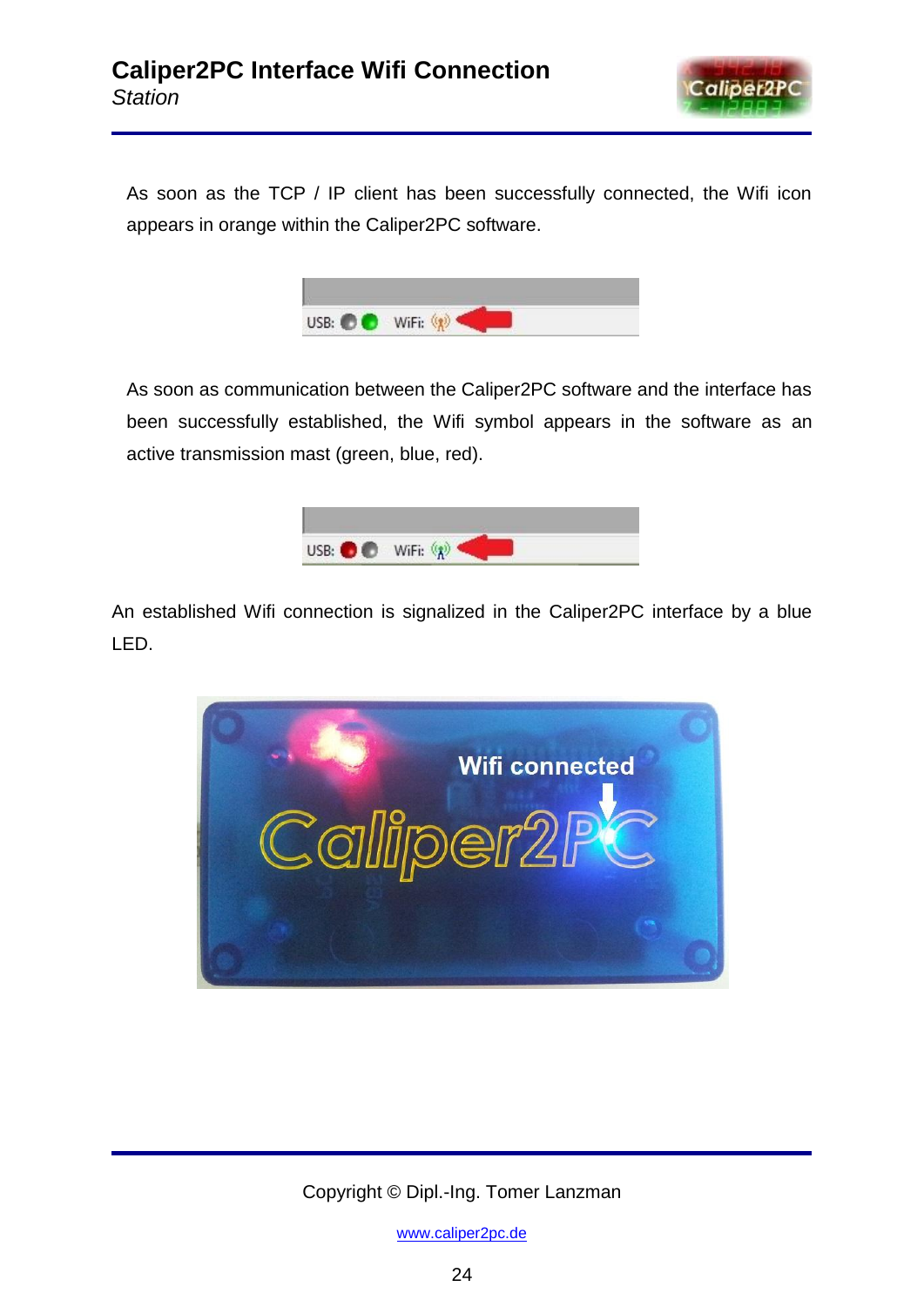

As soon as the TCP / IP client has been successfully connected, the Wifi icon appears in orange within the Caliper2PC software.



As soon as communication between the Caliper2PC software and the interface has been successfully established, the Wifi symbol appears in the software as an active transmission mast (green, blue, red).



An established Wifi connection is signalized in the Caliper2PC interface by a blue LED.



Copyright © Dipl.-Ing. Tomer Lanzman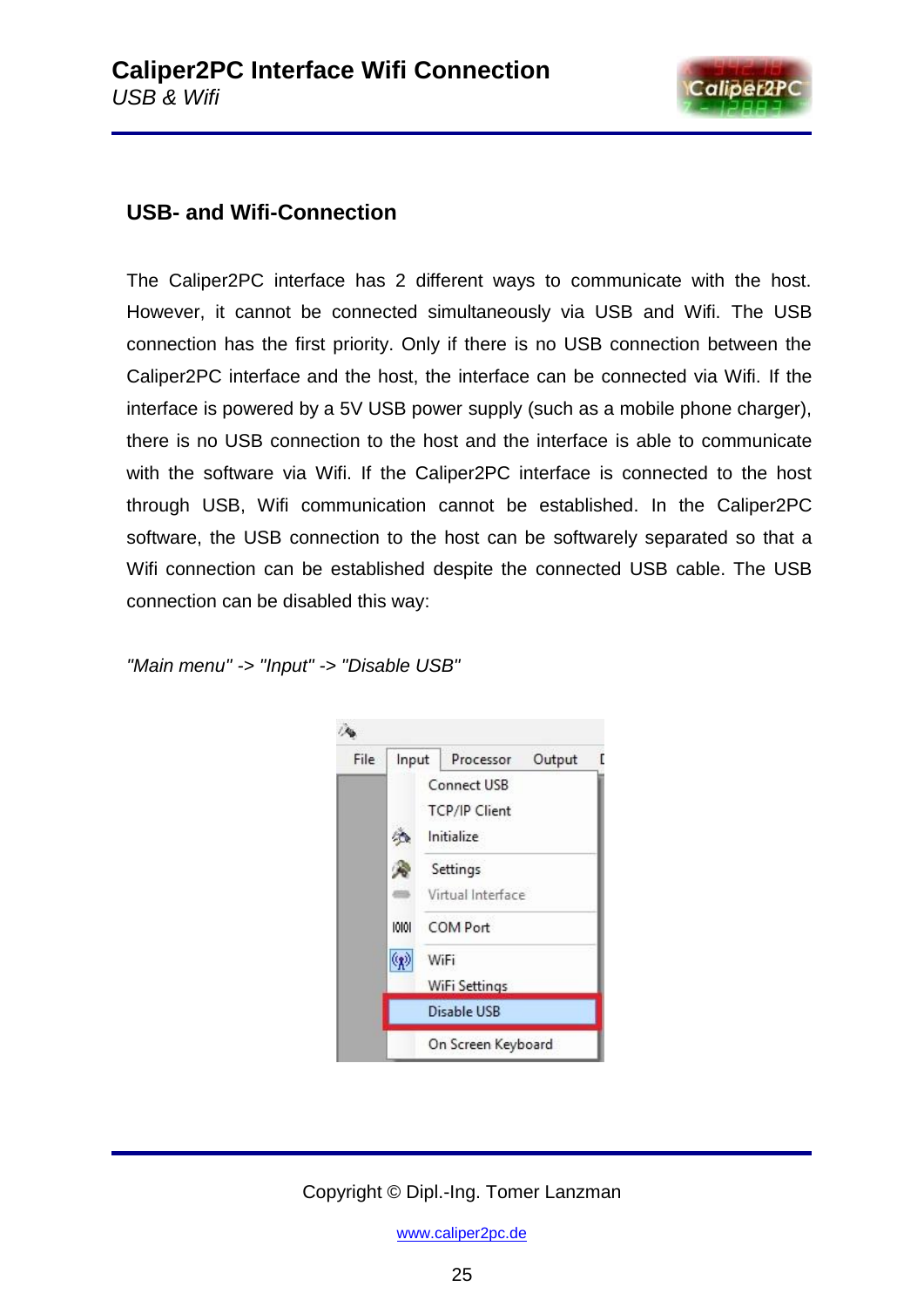

## **USB- and Wifi-Connection**

The Caliper2PC interface has 2 different ways to communicate with the host. However, it cannot be connected simultaneously via USB and Wifi. The USB connection has the first priority. Only if there is no USB connection between the Caliper2PC interface and the host, the interface can be connected via Wifi. If the interface is powered by a 5V USB power supply (such as a mobile phone charger), there is no USB connection to the host and the interface is able to communicate with the software via Wifi. If the Caliper2PC interface is connected to the host through USB, Wifi communication cannot be established. In the Caliper2PC software, the USB connection to the host can be softwarely separated so that a Wifi connection can be established despite the connected USB cable. The USB connection can be disabled this way:

*"Main menu" -> "Input" -> "Disable USB"*



#### Copyright © Dipl.-Ing. Tomer Lanzman